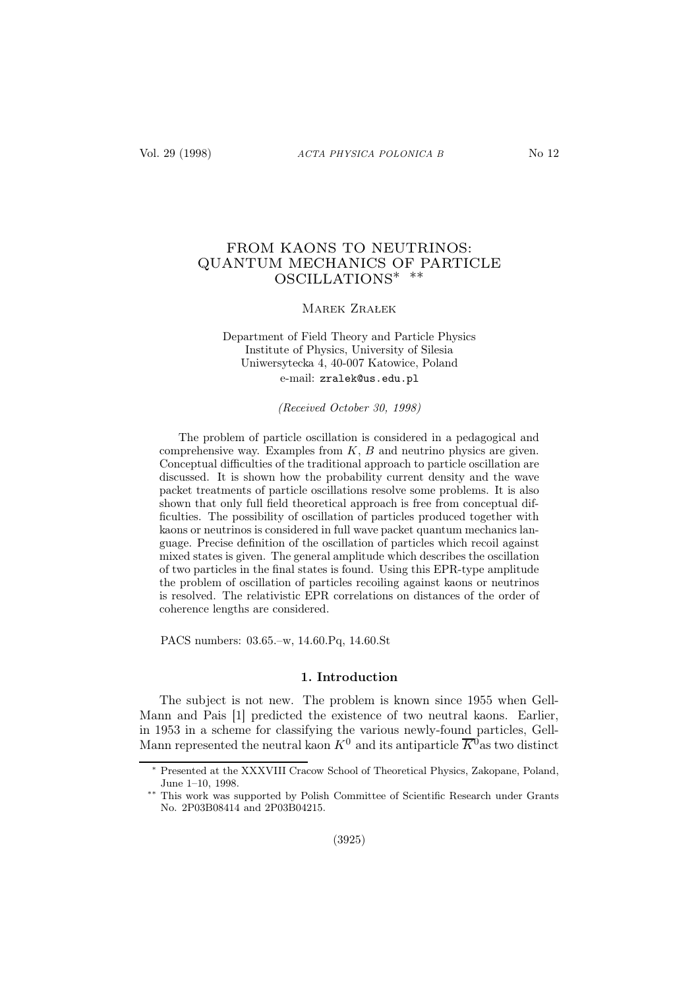# FROM KAONS TO NEUTRINOS: QUANTUM MECHANICS OF PARTICLE OSCILLATIONS∗ ∗∗

## Marek Zrałek

# Department of Field Theory and Particle Physics Institute of Physics, University of Silesia Uniwersytecka 4, 40-007 Katowice, Poland e-mail: zralek@us.edu.pl

(Received October 30, 1998)

The problem of particle oscillation is considered in a pedagogical and comprehensive way. Examples from  $K, B$  and neutrino physics are given. Conceptual difficulties of the traditional approach to particle oscillation are discussed. It is shown how the probability current density and the wave packet treatments of particle oscillations resolve some problems. It is also shown that only full field theoretical approach is free from conceptual difficulties. The possibility of oscillation of particles produced together with kaons or neutrinos is considered in full wave packet quantum mechanics language. Precise definition of the oscillation of particles which recoil against mixed states is given. The general amplitude which describes the oscillation of two particles in the final states is found. Using this EPR-type amplitude the problem of oscillation of particles recoiling against kaons or neutrinos is resolved. The relativistic EPR correlations on distances of the order of coherence lengths are considered.

PACS numbers: 03.65.–w, 14.60.Pq, 14.60.St

#### 1. Introduction

The subject is not new. The problem is known since 1955 when Gell-Mann and Pais [1] predicted the existence of two neutral kaons. Earlier, in 1953 in a scheme for classifying the various newly-found particles, Gell-Mann represented the neutral kaon  $K^0$  and its antiparticle  $\overline{K}^0$  as two distinct

Presented at the XXXVIII Cracow School of Theoretical Physics, Zakopane, Poland, June 1–10, 1998.

This work was supported by Polish Committee of Scientific Research under Grants No. 2P03B08414 and 2P03B04215.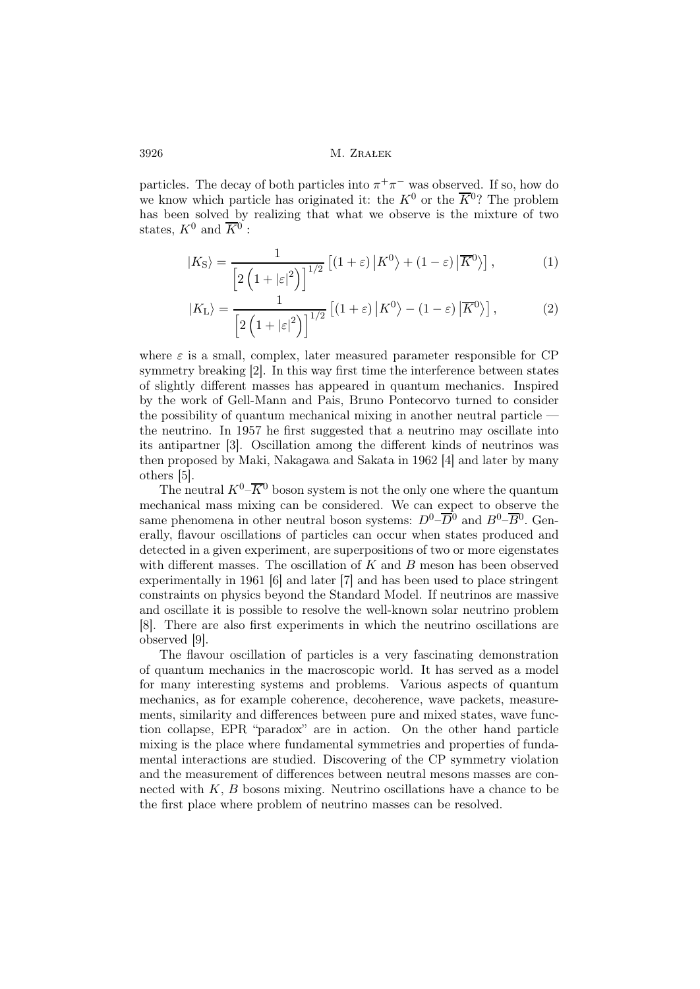particles. The decay of both particles into  $\pi^+\pi^-$  was observed. If so, how do we know which particle has originated it: the  $K^0$  or the  $\overline{K}{}^0$ ? The problem has been solved by realizing that what we observe is the mixture of two states,  $K^0$  and  $\overline{K}{}^0$ :

$$
|K_{\rm S}\rangle = \frac{1}{\left[2\left(1+|\varepsilon|^2\right)\right]^{1/2}}\left[\left(1+\varepsilon\right)|K^0\right\rangle + \left(1-\varepsilon\right)|\overline{K}^0\rangle\right],\tag{1}
$$

$$
|K_{\mathcal{L}}\rangle = \frac{1}{\left[2\left(1+|\varepsilon|^2\right)\right]^{1/2}}\left[\left(1+\varepsilon\right)|K^0\right\rangle - \left(1-\varepsilon\right)|\overline{K}^0\rangle\right],\tag{2}
$$

where  $\varepsilon$  is a small, complex, later measured parameter responsible for CP symmetry breaking [2]. In this way first time the interference between states of slightly different masses has appeared in quantum mechanics. Inspired by the work of Gell-Mann and Pais, Bruno Pontecorvo turned to consider the possibility of quantum mechanical mixing in another neutral particle the neutrino. In 1957 he first suggested that a neutrino may oscillate into its antipartner [3]. Oscillation among the different kinds of neutrinos was then proposed by Maki, Nakagawa and Sakata in 1962 [4] and later by many others [5].

The neutral  $K^0$ – $\overline{K}$ <sup>0</sup> boson system is not the only one where the quantum mechanical mass mixing can be considered. We can expect to observe the same phenomena in other neutral boson systems:  $D^0$ - $\overline{D}{}^0$  and  $B^0$ - $\overline{B}{}^0$ . Generally, flavour oscillations of particles can occur when states produced and detected in a given experiment, are superpositions of two or more eigenstates with different masses. The oscillation of  $K$  and  $B$  meson has been observed experimentally in 1961 [6] and later [7] and has been used to place stringent constraints on physics beyond the Standard Model. If neutrinos are massive and oscillate it is possible to resolve the well-known solar neutrino problem [8]. There are also first experiments in which the neutrino oscillations are observed [9].

The flavour oscillation of particles is a very fascinating demonstration of quantum mechanics in the macroscopic world. It has served as a model for many interesting systems and problems. Various aspects of quantum mechanics, as for example coherence, decoherence, wave packets, measurements, similarity and differences between pure and mixed states, wave function collapse, EPR "paradox" are in action. On the other hand particle mixing is the place where fundamental symmetries and properties of fundamental interactions are studied. Discovering of the CP symmetry violation and the measurement of differences between neutral mesons masses are connected with  $K, B$  bosons mixing. Neutrino oscillations have a chance to be the first place where problem of neutrino masses can be resolved.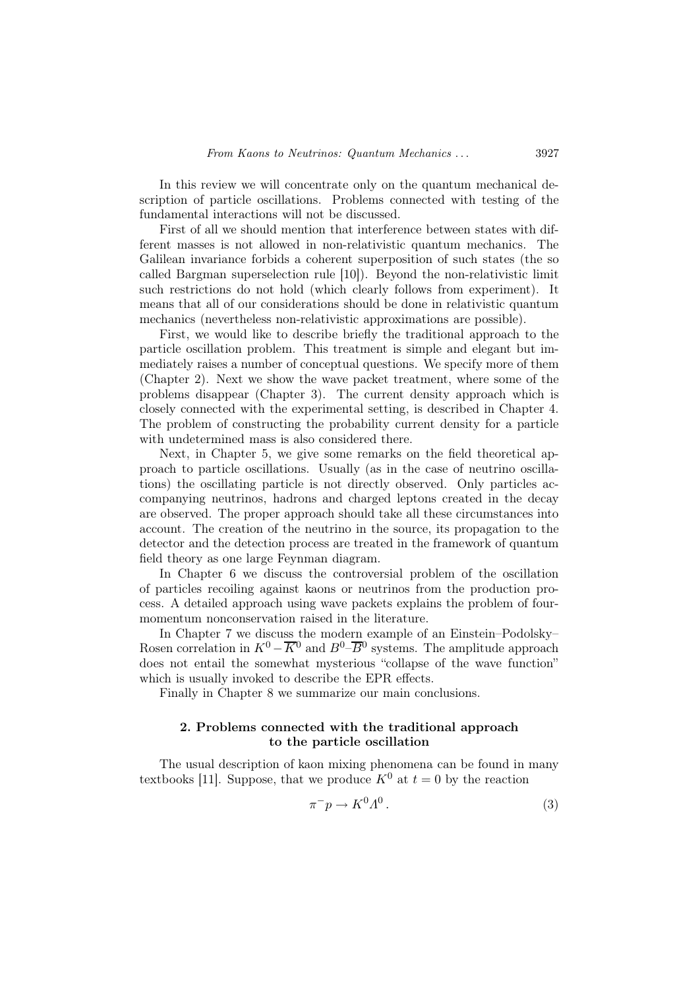In this review we will concentrate only on the quantum mechanical description of particle oscillations. Problems connected with testing of the fundamental interactions will not be discussed.

First of all we should mention that interference between states with different masses is not allowed in non-relativistic quantum mechanics. The Galilean invariance forbids a coherent superposition of such states (the so called Bargman superselection rule [10]). Beyond the non-relativistic limit such restrictions do not hold (which clearly follows from experiment). It means that all of our considerations should be done in relativistic quantum mechanics (nevertheless non-relativistic approximations are possible).

First, we would like to describe briefly the traditional approach to the particle oscillation problem. This treatment is simple and elegant but immediately raises a number of conceptual questions. We specify more of them (Chapter 2). Next we show the wave packet treatment, where some of the problems disappear (Chapter 3). The current density approach which is closely connected with the experimental setting, is described in Chapter 4. The problem of constructing the probability current density for a particle with undetermined mass is also considered there.

Next, in Chapter 5, we give some remarks on the field theoretical approach to particle oscillations. Usually (as in the case of neutrino oscillations) the oscillating particle is not directly observed. Only particles accompanying neutrinos, hadrons and charged leptons created in the decay are observed. The proper approach should take all these circumstances into account. The creation of the neutrino in the source, its propagation to the detector and the detection process are treated in the framework of quantum field theory as one large Feynman diagram.

In Chapter 6 we discuss the controversial problem of the oscillation of particles recoiling against kaons or neutrinos from the production process. A detailed approach using wave packets explains the problem of fourmomentum nonconservation raised in the literature.

In Chapter 7 we discuss the modern example of an Einstein–Podolsky– Rosen correlation in  $K^0 - \overline{K}^0$  and  $B^0 - \overline{B}^0$  systems. The amplitude approach does not entail the somewhat mysterious "collapse of the wave function" which is usually invoked to describe the EPR effects.

Finally in Chapter 8 we summarize our main conclusions.

# 2. Problems connected with the traditional approach to the particle oscillation

The usual description of kaon mixing phenomena can be found in many textbooks [11]. Suppose, that we produce  $K^0$  at  $t=0$  by the reaction

$$
\pi^- p \to K^0 \Lambda^0 \,. \tag{3}
$$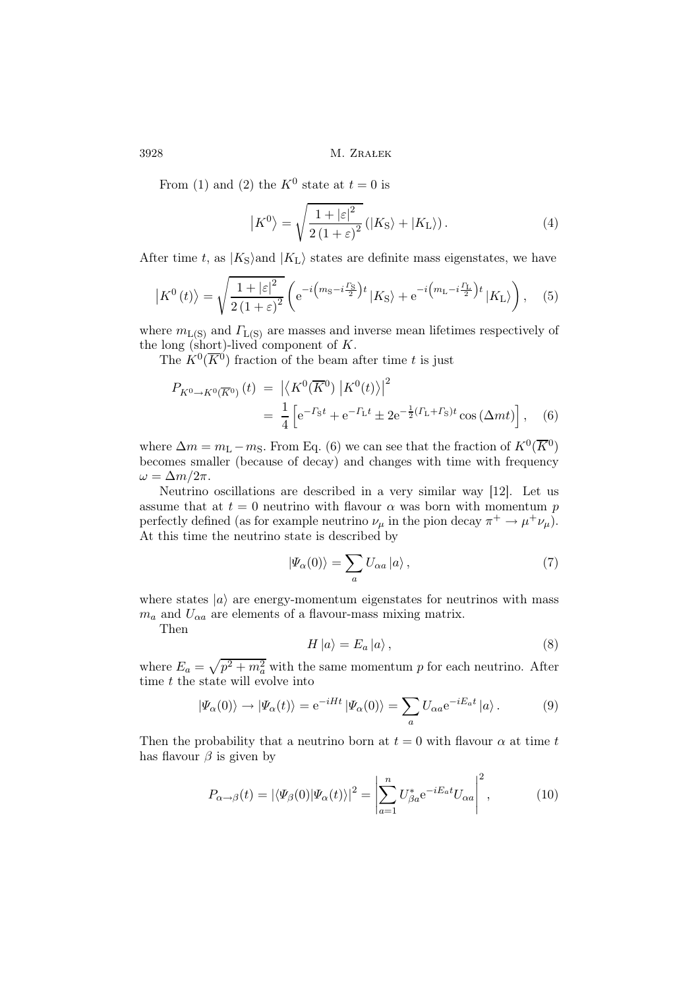From (1) and (2) the  $K^0$  state at  $t=0$  is

$$
\left|K^{0}\right\rangle = \sqrt{\frac{1+\left|\varepsilon\right|^{2}}{2\left(1+\varepsilon\right)^{2}}} \left(\left|K_{\mathrm{S}}\right\rangle + \left|K_{\mathrm{L}}\right\rangle\right). \tag{4}
$$

After time t, as  $|K_{\rm S}\rangle$  and  $|K_{\rm L}\rangle$  states are definite mass eigenstates, we have

$$
\left| K^{0}(t) \right\rangle = \sqrt{\frac{1+|\varepsilon|^{2}}{2(1+\varepsilon)^{2}}} \left( e^{-i \left( m_{\text{S}} - i \frac{\Gamma_{\text{S}}}{2} \right) t} \left| K_{\text{S}} \right\rangle + e^{-i \left( m_{\text{L}} - i \frac{\Gamma_{\text{L}}}{2} \right) t} \left| K_{\text{L}} \right\rangle \right), \quad (5)
$$

where  $m_{L(S)}$  and  $\Gamma_{L(S)}$  are masses and inverse mean lifetimes respectively of the long (short)-lived component of  $K$ .

The  $K^0(\overline{K}^0)$  fraction of the beam after time t is just

$$
P_{K^{0}\to K^{0}(\overline{K}^{0})}(t) = \left| \left\langle K^{0}(\overline{K}^{0}) \left| K^{0}(t) \right\rangle \right|^{2} \right|
$$
  
= 
$$
\frac{1}{4} \left[ e^{-\Gamma_{S}t} + e^{-\Gamma_{L}t} \pm 2e^{-\frac{1}{2}(\Gamma_{L} + \Gamma_{S})t} \cos(\Delta mt) \right], \quad (6)
$$

where  $\Delta m = m_{\rm L} - m_{\rm S}$ . From Eq. (6) we can see that the fraction of  $K^0(\overline{K}^0)$ becomes smaller (because of decay) and changes with time with frequency  $\omega = \Delta m/2\pi$ .

Neutrino oscillations are described in a very similar way [12]. Let us assume that at  $t = 0$  neutrino with flavour  $\alpha$  was born with momentum p perfectly defined (as for example neutrino  $\nu_{\mu}$  in the pion decay  $\pi^{+} \to \mu^{+} \nu_{\mu}$ ). At this time the neutrino state is described by

$$
|\Psi_{\alpha}(0)\rangle = \sum_{a} U_{\alpha a} |a\rangle , \qquad (7)
$$

where states  $|a\rangle$  are energy-momentum eigenstates for neutrinos with mass  $m_a$  and  $U_{\alpha a}$  are elements of a flavour-mass mixing matrix.

Then

$$
H |a\rangle = E_a |a\rangle , \qquad (8)
$$

where  $E_a = \sqrt{p^2 + m_a^2}$  with the same momentum p for each neutrino. After time  $t$  the state will evolve into

$$
|\Psi_{\alpha}(0)\rangle \to |\Psi_{\alpha}(t)\rangle = e^{-iHt} |\Psi_{\alpha}(0)\rangle = \sum_{a} U_{\alpha a} e^{-iE_{a}t} |a\rangle.
$$
 (9)

Then the probability that a neutrino born at  $t = 0$  with flavour  $\alpha$  at time t has flavour  $\beta$  is given by

$$
P_{\alpha \to \beta}(t) = |\langle \Psi_{\beta}(0) | \Psi_{\alpha}(t) \rangle|^2 = \left| \sum_{a=1}^{n} U_{\beta a}^* e^{-iE_a t} U_{\alpha a} \right|^2, \tag{10}
$$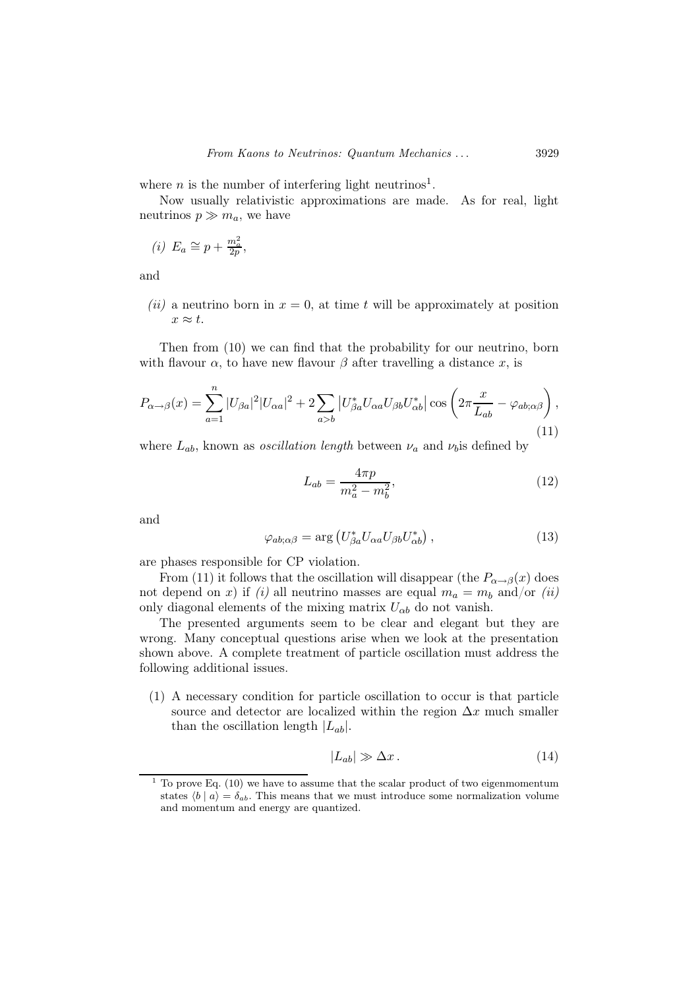where *n* is the number of interfering light neutrinos<sup>1</sup>.

Now usually relativistic approximations are made. As for real, light neutrinos  $p \gg m_a$ , we have

(i) 
$$
E_a \cong p + \frac{m_a^2}{2p},
$$

and

(ii) a neutrino born in  $x = 0$ , at time t will be approximately at position  $x \approx t$ .

Then from (10) we can find that the probability for our neutrino, born with flavour  $\alpha$ , to have new flavour  $\beta$  after travelling a distance x, is

$$
P_{\alpha \to \beta}(x) = \sum_{a=1}^{n} |U_{\beta a}|^2 |U_{\alpha a}|^2 + 2 \sum_{a>b} |U_{\beta a}^* U_{\alpha a} U_{\beta b} U_{\alpha b}^*| \cos \left(2\pi \frac{x}{L_{ab}} - \varphi_{ab;\alpha\beta}\right),\tag{11}
$$

where  $L_{ab}$ , known as *oscillation length* between  $\nu_a$  and  $\nu_b$  is defined by

$$
L_{ab} = \frac{4\pi p}{m_a^2 - m_b^2},\tag{12}
$$

and

$$
\varphi_{ab;\alpha\beta} = \arg \left( U^*_{\beta a} U_{\alpha a} U_{\beta b} U^*_{\alpha b} \right),\tag{13}
$$

are phases responsible for CP violation.

From (11) it follows that the oscillation will disappear (the  $P_{\alpha \to \beta}(x)$  does not depend on x) if (i) all neutrino masses are equal  $m_a = m_b$  and/or (ii) only diagonal elements of the mixing matrix  $U_{\alpha b}$  do not vanish.

The presented arguments seem to be clear and elegant but they are wrong. Many conceptual questions arise when we look at the presentation shown above. A complete treatment of particle oscillation must address the following additional issues.

(1) A necessary condition for particle oscillation to occur is that particle source and detector are localized within the region  $\Delta x$  much smaller than the oscillation length  $|L_{ab}|$ .

$$
|L_{ab}| \gg \Delta x \,. \tag{14}
$$

 $^{\rm 1}$  To prove Eq. (10) we have to assume that the scalar product of two eigenmomentum states  $\langle b | a \rangle = \delta_{ab}$ . This means that we must introduce some normalization volume and momentum and energy are quantized.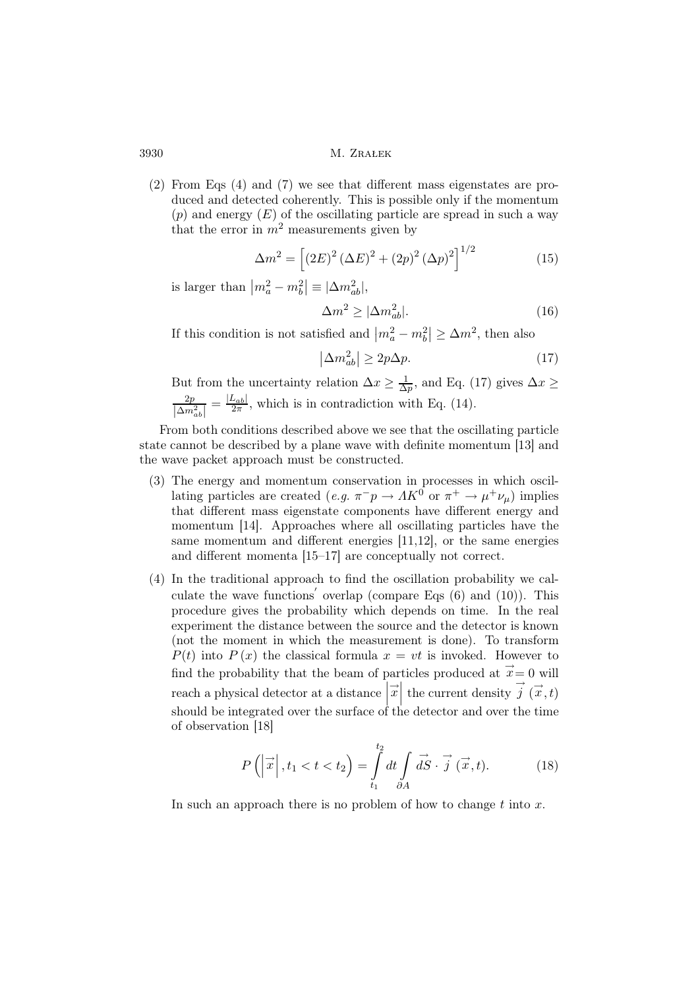(2) From Eqs (4) and (7) we see that different mass eigenstates are produced and detected coherently. This is possible only if the momentum (p) and energy  $(E)$  of the oscillating particle are spread in such a way that the error in  $m^2$  measurements given by

$$
\Delta m^{2} = \left[ (2E)^{2} (\Delta E)^{2} + (2p)^{2} (\Delta p)^{2} \right]^{1/2}
$$
 (15)

is larger than  $\left| m_a^2 - m_b^2 \right| \equiv |\Delta m_{ab}^2|,$ 

$$
\Delta m^2 \ge |\Delta m_{ab}^2|.\tag{16}
$$

If this condition is not satisfied and  $|m_a^2 - m_b^2| \ge \Delta m^2$ , then also

$$
\left|\Delta m_{ab}^2\right| \ge 2p\Delta p. \tag{17}
$$

But from the uncertainty relation  $\Delta x \geq \frac{1}{\Delta}$  $\frac{1}{\Delta p}$ , and Eq. (17) gives  $\Delta x \geq$  $\frac{2p}{|\Delta m^2_{ab}|}$  $=\frac{|L_{ab}|}{2\pi}$  $\frac{L_{ab}}{2\pi}$ , which is in contradiction with Eq. (14).

From both conditions described above we see that the oscillating particle state cannot be described by a plane wave with definite momentum [13] and the wave packet approach must be constructed.

- (3) The energy and momentum conservation in processes in which oscillating particles are created  $(e.g. \pi^- p \to AK^0 \text{ or } \pi^+ \to \mu^+ \nu_\mu)$  implies that different mass eigenstate components have different energy and momentum [14]. Approaches where all oscillating particles have the same momentum and different energies [11,12], or the same energies and different momenta [15–17] are conceptually not correct.
- (4) In the traditional approach to find the oscillation probability we calculate the wave functions' overlap (compare Eqs  $(6)$  and  $(10)$ ). This procedure gives the probability which depends on time. In the real experiment the distance between the source and the detector is known (not the moment in which the measurement is done). To transform  $P(t)$  into  $P(x)$  the classical formula  $x = vt$  is invoked. However to find the probability that the beam of particles produced at  $\vec{x} = 0$  will reach a physical detector at a distance  $\left|\vec{x}\right|$  the current density  $\vec{j}(\vec{x},t)$ Ĭ should be integrated over the surface of the detector and over the time of observation [18]

$$
P\left(\left|\vec{x}\right|, t_1 < t < t_2\right) = \int_{t_1}^{t_2} dt \int_{\partial A} \vec{dS} \cdot \vec{j} \left(\vec{x}, t\right).
$$
 (18)

In such an approach there is no problem of how to change  $t$  into  $x$ .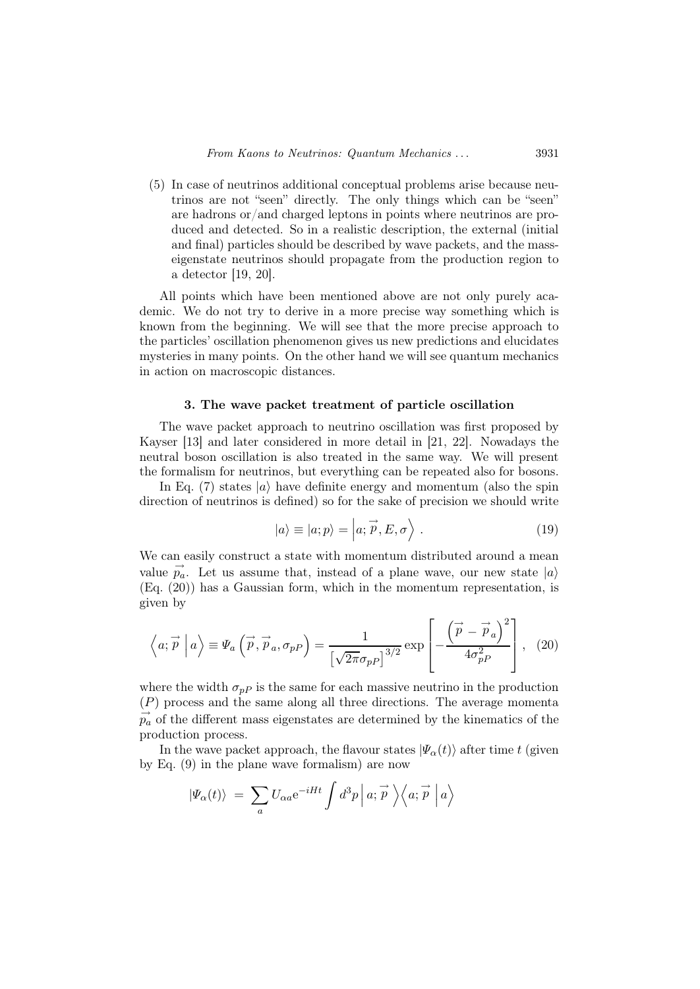(5) In case of neutrinos additional conceptual problems arise because neutrinos are not "seen" directly. The only things which can be "seen" are hadrons or/and charged leptons in points where neutrinos are produced and detected. So in a realistic description, the external (initial and final) particles should be described by wave packets, and the masseigenstate neutrinos should propagate from the production region to a detector [19, 20].

All points which have been mentioned above are not only purely academic. We do not try to derive in a more precise way something which is known from the beginning. We will see that the more precise approach to the particles' oscillation phenomenon gives us new predictions and elucidates mysteries in many points. On the other hand we will see quantum mechanics in action on macroscopic distances.

#### 3. The wave packet treatment of particle oscillation

The wave packet approach to neutrino oscillation was first proposed by Kayser [13] and later considered in more detail in [21, 22]. Nowadays the neutral boson oscillation is also treated in the same way. We will present the formalism for neutrinos, but everything can be repeated also for bosons.

In Eq. (7) states  $|a\rangle$  have definite energy and momentum (also the spin direction of neutrinos is defined) so for the sake of precision we should write

$$
|a\rangle \equiv |a; p\rangle = |a; \vec{p}, E, \sigma\rangle. \tag{19}
$$

We can easily construct a state with momentum distributed around a mean value  $\vec{p}_a$ . Let us assume that, instead of a plane wave, our new state  $|a\rangle$ (Eq. (20)) has a Gaussian form, which in the momentum representation, is given by

$$
\left\langle a; \vec{p} \mid a \right\rangle \equiv \Psi_a \left( \vec{p}, \vec{p}_a, \sigma_{pP} \right) = \frac{1}{\left[ \sqrt{2\pi} \sigma_{pP} \right]^{3/2}} \exp \left[ -\frac{\left( \vec{p} - \vec{p}_a \right)^2}{4\sigma_{pP}^2} \right], \tag{20}
$$

where the width  $\sigma_{p}p$  is the same for each massive neutrino in the production (P) process and the same along all three directions. The average momenta  $\overrightarrow{p_a}$  of the different mass eigenstates are determined by the kinematics of the production process.

In the wave packet approach, the flavour states  $|\Psi_{\alpha}(t)\rangle$  after time t (given by Eq. (9) in the plane wave formalism) are now

$$
|\varPsi_{\alpha}(t)\rangle\ =\ \sum_{a}U_{\alpha a}{\rm e}^{-iHt}\int d^3p\, \Big|\, a; \stackrel{\rightharpoonup}{p}\ \Big\rangle\Big\langle a; \stackrel{\rightharpoonup}{p}\ \Big|\, a\Big\rangle
$$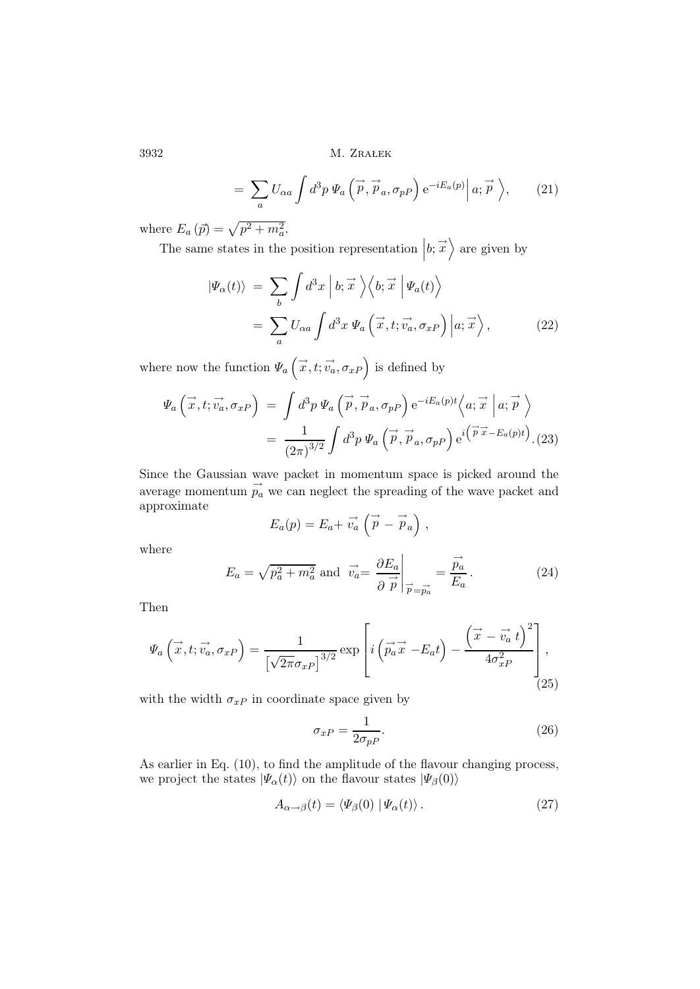$$
= \sum_{a} U_{\alpha a} \int d^3 p \, \Psi_a \left( \stackrel{\rightarrow}{p}, \stackrel{\rightarrow}{p}_a, \sigma_{pP} \right) e^{-iE_a(p)} \Big| \, a; \stackrel{\rightarrow}{p} \Big\rangle, \tag{21}
$$

where  $E_a(p) = \sqrt{p^2 + m_a^2}$ .

The same states in the position representation  $|b; \vec{x}\rangle$  are given by

$$
\begin{split} |\Psi_{\alpha}(t)\rangle &= \sum_{b} \int d^{3}x \left| b; \overrightarrow{x} \right\rangle \left\langle b; \overrightarrow{x} \right| \Psi_{a}(t) \right\rangle \\ &= \sum_{a} U_{\alpha a} \int d^{3}x \, \Psi_{a} \left( \overrightarrow{x}, t; \overrightarrow{v_{a}}, \sigma_{xP} \right) \left| a; \overrightarrow{x} \right\rangle, \end{split} \tag{22}
$$

where now the function  $\Psi_a(\vec{x},t;\vec{v}_a,\sigma_{xP})$  is defined by

$$
\Psi_a\left(\vec{x},t;\vec{v_a},\sigma_{xP}\right) = \int d^3p \, \Psi_a\left(\vec{p},\vec{p}_a,\sigma_{pP}\right) e^{-iE_a(p)t} \langle a;\vec{x} \mid a;\vec{p} \rangle \n= \frac{1}{(2\pi)^{3/2}} \int d^3p \, \Psi_a\left(\vec{p},\vec{p}_a,\sigma_{pP}\right) e^{i\left(\vec{p}\cdot\vec{x}-E_a(p)t\right)}.
$$
\n(23)

Since the Gaussian wave packet in momentum space is picked around the average momentum  $\overrightarrow{p}_a$  we can neglect the spreading of the wave packet and approximate

$$
E_a(p) = E_a + \vec{v_a} \left( \vec{p} - \vec{p}_a \right) ,
$$

where

$$
E_a = \sqrt{p_a^2 + m_a^2} \text{ and } \vec{v}_a = \frac{\partial E_a}{\partial \vec{p}} \bigg|_{\vec{p} = \vec{p}_a} = \frac{\vec{p}_a}{E_a}.
$$
 (24)

Then

$$
\Psi_a\left(\vec{x},t;\vec{v}_a,\sigma_{xP}\right) = \frac{1}{\left[\sqrt{2\pi}\sigma_{xP}\right]^{3/2}} \exp\left[i\left(\vec{p}_a\vec{x} - E_a t\right) - \frac{\left(\vec{x} - \vec{v}_a\ t\right)^2}{4\sigma_{xP}^2}\right],\tag{25}
$$

with the width  $\sigma_{xP}$  in coordinate space given by

$$
\sigma_{xP} = \frac{1}{2\sigma_{pP}}.\tag{26}
$$

As earlier in Eq. (10), to find the amplitude of the flavour changing process, we project the states  $|\Psi_{\alpha}(t)\rangle$  on the flavour states  $|\Psi_{\beta}(0)\rangle$ 

$$
A_{\alpha \to \beta}(t) = \langle \Psi_{\beta}(0) | \Psi_{\alpha}(t) \rangle. \tag{27}
$$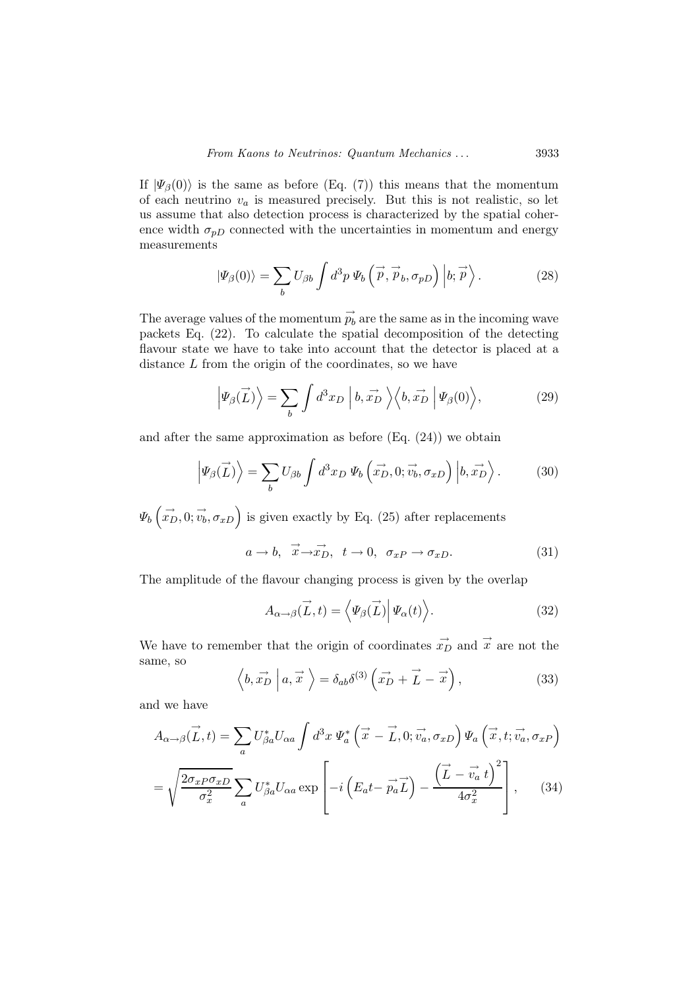If  $|\Psi_{\beta}(0)\rangle$  is the same as before (Eq. (7)) this means that the momentum of each neutrino  $v_a$  is measured precisely. But this is not realistic, so let us assume that also detection process is characterized by the spatial coherence width  $\sigma_{pD}$  connected with the uncertainties in momentum and energy measurements

$$
|\Psi_{\beta}(0)\rangle = \sum_{b} U_{\beta b} \int d^3 p \, \Psi_b \left(\vec{p}, \vec{p}_b, \sigma_{pD}\right) \left|b; \vec{p}\right\rangle. \tag{28}
$$

The average values of the momentum  $\stackrel{\rightarrow}{p_b}$  are the same as in the incoming wave packets Eq. (22). To calculate the spatial decomposition of the detecting flavour state we have to take into account that the detector is placed at a distance  $L$  from the origin of the coordinates, so we have

$$
\left|\Psi_{\beta}(\vec{L})\right\rangle = \sum_{b} \int d^{3}x_{D} \left|b, \vec{x_{D}}\right\rangle \left\langle b, \vec{x_{D}}\right| \Psi_{\beta}(0)\right\rangle, \tag{29}
$$

and after the same approximation as before (Eq. (24)) we obtain

$$
\left|\Psi_{\beta}(\vec{L})\right\rangle = \sum_{b} U_{\beta b} \int d^{3}x_{D} \Psi_{b} \left(\vec{x_{D}}, 0; \vec{v_{b}}, \sigma_{xD}\right) \left|b, \vec{x_{D}}\right\rangle. \tag{30}
$$

 $\Psi_b(\vec{x}_D, 0; \vec{v}_b, \sigma_{xD})$  is given exactly by Eq. (25) after replacements

$$
a \rightarrow b, \quad \vec{x} \rightarrow \vec{x_D}, \quad t \rightarrow 0, \quad \sigma_{xP} \rightarrow \sigma_{xD}.
$$
 (31)

The amplitude of the flavour changing process is given by the overlap

$$
A_{\alpha \to \beta}(\vec{L}, t) = \langle \Psi_{\beta}(\vec{L}) | \Psi_{\alpha}(t) \rangle.
$$
 (32)

We have to remember that the origin of coordinates  $\vec{x}_D$  and  $\vec{x}$  are not the same, so

$$
\left\langle b, \overrightarrow{x_D} \mid a, \overrightarrow{x} \right\rangle = \delta_{ab} \delta^{(3)} \left( \overrightarrow{x_D} + \overrightarrow{L} - \overrightarrow{x} \right), \tag{33}
$$

and we have

$$
A_{\alpha \to \beta}(\vec{L}, t) = \sum_{a} U_{\beta a}^{*} U_{\alpha a} \int d^{3}x \, \Psi_{a}^{*} (\vec{x} - \vec{L}, 0; \vec{v_{a}}, \sigma_{xD}) \Psi_{a} (\vec{x}, t; \vec{v_{a}}, \sigma_{xP})
$$

$$
= \sqrt{\frac{2\sigma_{xP}\sigma_{xD}}{\sigma_{x}^{2}} \sum_{a} U_{\beta a}^{*} U_{\alpha a} \exp \left[ -i \left( E_{a}t - \vec{p_{a}} \vec{L} \right) - \frac{\left( \vec{L} - \vec{v_{a}} t \right)^{2}}{4\sigma_{x}^{2}} \right], \quad (34)
$$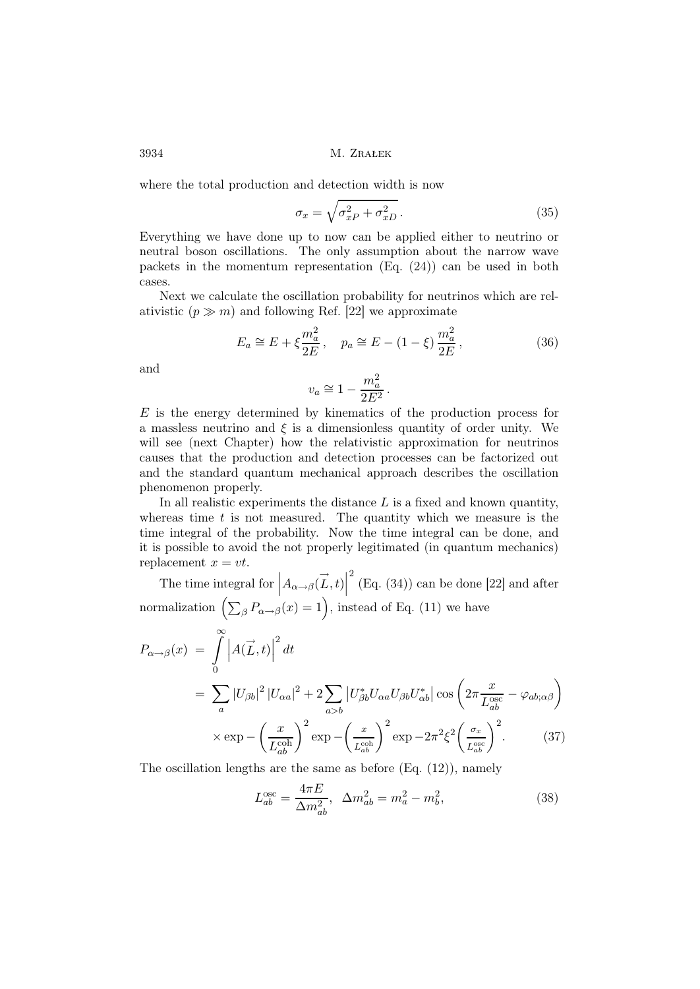where the total production and detection width is now

$$
\sigma_x = \sqrt{\sigma_{xP}^2 + \sigma_{xD}^2} \,. \tag{35}
$$

Everything we have done up to now can be applied either to neutrino or neutral boson oscillations. The only assumption about the narrow wave packets in the momentum representation  $(E_{q}$ ,  $(24))$  can be used in both cases.

Next we calculate the oscillation probability for neutrinos which are relativistic  $(p \gg m)$  and following Ref. [22] we approximate

$$
E_a \cong E + \xi \frac{m_a^2}{2E}, \quad p_a \cong E - (1 - \xi) \frac{m_a^2}{2E},
$$
 (36)

and

$$
v_a \cong 1 - \frac{m_a^2}{2E^2} \, .
$$

 $E$  is the energy determined by kinematics of the production process for a massless neutrino and  $\xi$  is a dimensionless quantity of order unity. We will see (next Chapter) how the relativistic approximation for neutrinos causes that the production and detection processes can be factorized out and the standard quantum mechanical approach describes the oscillation phenomenon properly.

In all realistic experiments the distance  $L$  is a fixed and known quantity, whereas time  $t$  is not measured. The quantity which we measure is the time integral of the probability. Now the time integral can be done, and it is possible to avoid the not properly legitimated (in quantum mechanics) replacement  $x = vt$ .

The time integral for  $\left| A_{\alpha \to \beta}(\vec{L},t) \right|$  $2^{2}$  (Eq. (34)) can be done [22] and after normalization  $\left(\sum_{\beta} P_{\alpha \to \beta}(x) = 1\right)$ , instead of Eq. (11) we have

$$
P_{\alpha \to \beta}(x) = \int_{0}^{\infty} \left| A(\vec{L}, t) \right|^2 dt
$$
  
= 
$$
\sum_{a} |U_{\beta b}|^2 |U_{\alpha a}|^2 + 2 \sum_{a > b} |U_{\beta b}^* U_{\alpha a} U_{\beta b} U_{\alpha b}^*| \cos \left( 2\pi \frac{x}{L_{ab}^{\text{osc}}} - \varphi_{ab;\alpha\beta} \right)
$$
  

$$
\times \exp - \left( \frac{x}{L_{ab}^{\text{coh}}} \right)^2 \exp - \left( \frac{x}{L_{ab}^{\text{coh}}} \right)^2 \exp - 2\pi^2 \xi^2 \left( \frac{\sigma_x}{L_{ab}^{\text{osc}}} \right)^2.
$$
 (37)

The oscillation lengths are the same as before (Eq. (12)), namely

$$
L_{ab}^{\text{osc}} = \frac{4\pi E}{\Delta m_{ab}^2}, \ \ \Delta m_{ab}^2 = m_a^2 - m_b^2,\tag{38}
$$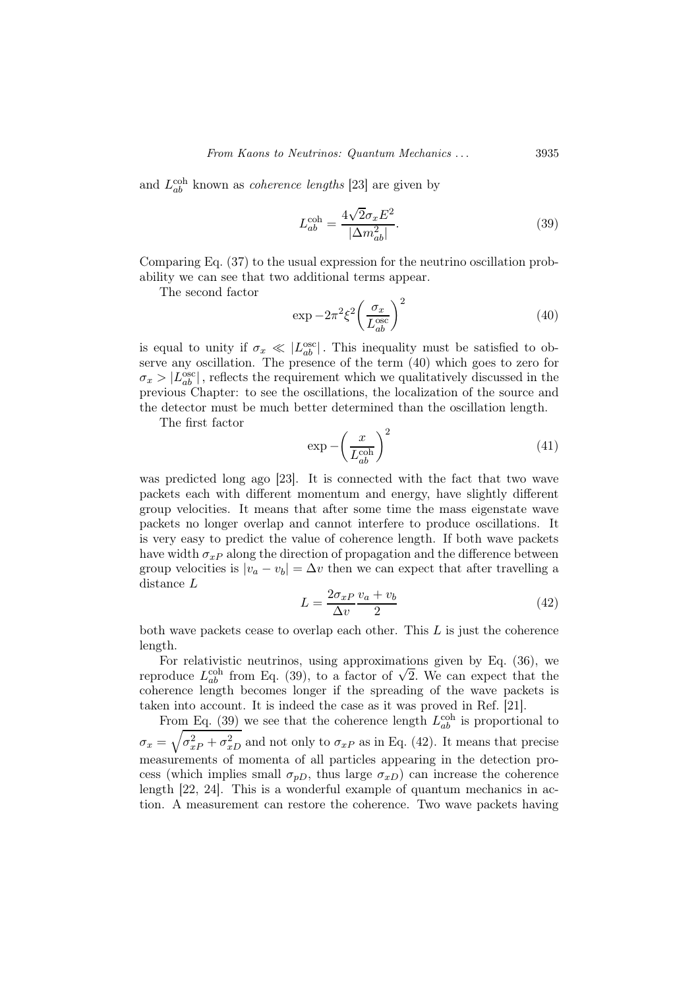and  $L_{ab}^{\text{coh}}$  known as *coherence lengths* [23] are given by

$$
L_{ab}^{\text{coh}} = \frac{4\sqrt{2}\sigma_x E^2}{|\Delta m_{ab}^2|}.
$$
\n(39)

Comparing Eq. (37) to the usual expression for the neutrino oscillation probability we can see that two additional terms appear.

The second factor

$$
\exp -2\pi^2 \xi^2 \left(\frac{\sigma_x}{L_{ab}^{\text{osc}}}\right)^2 \tag{40}
$$

is equal to unity if  $\sigma_x \ll |L_{ab}^{\text{osc}}|$ . This inequality must be satisfied to observe any oscillation. The presence of the term (40) which goes to zero for  $\sigma_x > |L_{ab}^{\text{osc}}|$ , reflects the requirement which we qualitatively discussed in the previous Chapter: to see the oscillations, the localization of the source and the detector must be much better determined than the oscillation length.

The first factor

$$
\exp -\left(\frac{x}{L_{ab}^{\text{coh}}}\right)^2\tag{41}
$$

was predicted long ago [23]. It is connected with the fact that two wave packets each with different momentum and energy, have slightly different group velocities. It means that after some time the mass eigenstate wave packets no longer overlap and cannot interfere to produce oscillations. It is very easy to predict the value of coherence length. If both wave packets have width  $\sigma_{x}$  along the direction of propagation and the difference between group velocities is  $|v_a - v_b| = \Delta v$  then we can expect that after travelling a distance L

$$
L = \frac{2\sigma_{xP}}{\Delta v} \frac{v_a + v_b}{2} \tag{42}
$$

both wave packets cease to overlap each other. This  $L$  is just the coherence length.

For relativistic neutrinos, using approximations given by Eq. (36), we reproduce  $L_{ab}^{coh}$  from Eq. (39), to a factor of  $\sqrt{2}$ . We can expect that the coherence length becomes longer if the spreading of the wave packets is taken into account. It is indeed the case as it was proved in Ref. [21].

From Eq. (39) we see that the coherence length  $L_{ab}^{\text{coh}}$  is proportional to  $\sigma_x = \sqrt{\sigma_{xP}^2 + \sigma_{xD}^2}$  and not only to  $\sigma_{xP}$  as in Eq. (42). It means that precise measurements of momenta of all particles appearing in the detection process (which implies small  $\sigma_{pD}$ , thus large  $\sigma_{xD}$ ) can increase the coherence length [22, 24]. This is a wonderful example of quantum mechanics in action. A measurement can restore the coherence. Two wave packets having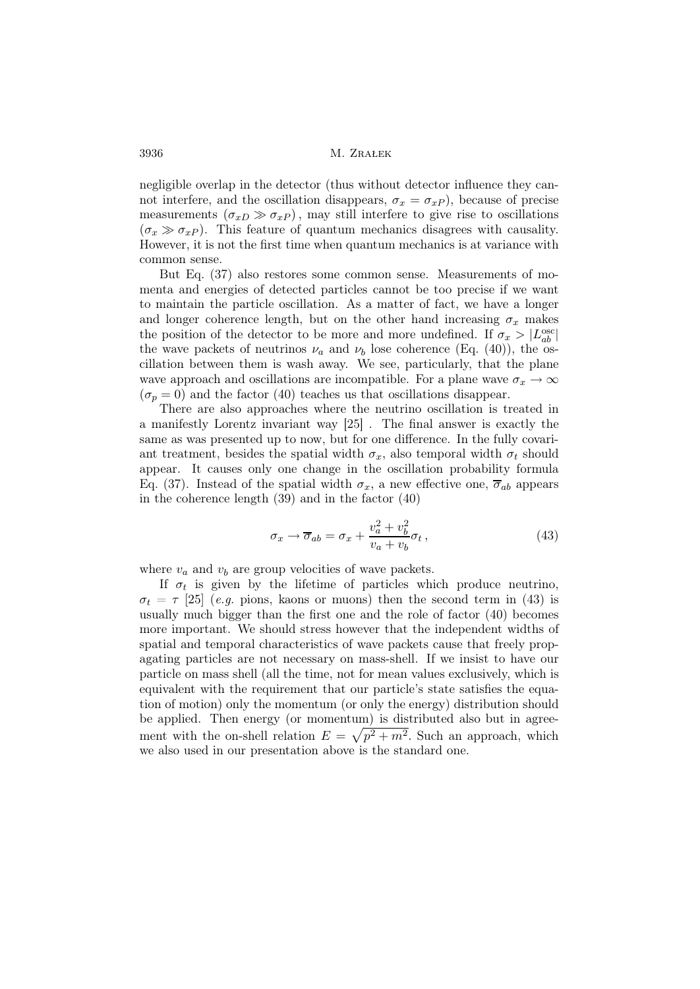negligible overlap in the detector (thus without detector influence they cannot interfere, and the oscillation disappears,  $\sigma_x = \sigma_{xP}$ ), because of precise measurements  $(\sigma_{xD} \gg \sigma_{xP})$ , may still interfere to give rise to oscillations  $(\sigma_x \gg \sigma_{xP})$ . This feature of quantum mechanics disagrees with causality. However, it is not the first time when quantum mechanics is at variance with common sense.

But Eq. (37) also restores some common sense. Measurements of momenta and energies of detected particles cannot be too precise if we want to maintain the particle oscillation. As a matter of fact, we have a longer and longer coherence length, but on the other hand increasing  $\sigma_x$  makes the position of the detector to be more and more undefined. If  $\sigma_x > |L_{ab}^{\text{osc}}|$ the wave packets of neutrinos  $\nu_a$  and  $\nu_b$  lose coherence (Eq. (40)), the oscillation between them is wash away. We see, particularly, that the plane wave approach and oscillations are incompatible. For a plane wave  $\sigma_x \to \infty$  $(\sigma_p = 0)$  and the factor (40) teaches us that oscillations disappear.

There are also approaches where the neutrino oscillation is treated in a manifestly Lorentz invariant way [25] . The final answer is exactly the same as was presented up to now, but for one difference. In the fully covariant treatment, besides the spatial width  $\sigma_x$ , also temporal width  $\sigma_t$  should appear. It causes only one change in the oscillation probability formula Eq. (37). Instead of the spatial width  $\sigma_x$ , a new effective one,  $\overline{\sigma}_{ab}$  appears in the coherence length (39) and in the factor (40)

$$
\sigma_x \to \overline{\sigma}_{ab} = \sigma_x + \frac{v_a^2 + v_b^2}{v_a + v_b} \sigma_t, \qquad (43)
$$

where  $v_a$  and  $v_b$  are group velocities of wave packets.

If  $\sigma_t$  is given by the lifetime of particles which produce neutrino,  $\sigma_t = \tau$  [25] (e.g. pions, kaons or muons) then the second term in (43) is usually much bigger than the first one and the role of factor (40) becomes more important. We should stress however that the independent widths of spatial and temporal characteristics of wave packets cause that freely propagating particles are not necessary on mass-shell. If we insist to have our particle on mass shell (all the time, not for mean values exclusively, which is equivalent with the requirement that our particle's state satisfies the equation of motion) only the momentum (or only the energy) distribution should be applied. Then energy (or momentum) is distributed also but in agreement with the on-shell relation  $E = \sqrt{p^2 + m^2}$ . Such an approach, which we also used in our presentation above is the standard one.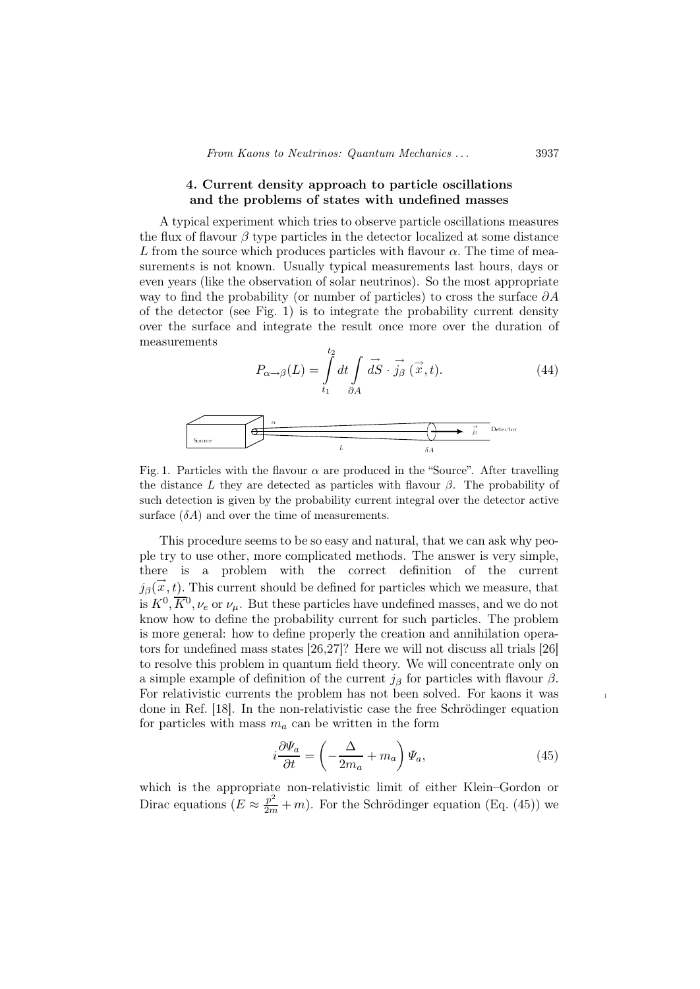# 4. Current density approach to particle oscillations and the problems of states with undefined masses

A typical experiment which tries to observe particle oscillations measures the flux of flavour  $\beta$  type particles in the detector localized at some distance L from the source which produces particles with flavour  $\alpha$ . The time of measurements is not known. Usually typical measurements last hours, days or even years (like the observation of solar neutrinos). So the most appropriate way to find the probability (or number of particles) to cross the surface  $\partial A$ of the detector (see Fig. 1) is to integrate the probability current density over the surface and integrate the result once more over the duration of measurements

$$
P_{\alpha \to \beta}(L) = \int_{t_1}^{t_2} dt \int \vec{dS} \cdot \vec{j_{\beta}} (\vec{x}, t). \tag{44}
$$

$$
\begin{array}{|c|c|}\n\hline\n\text{Source} & \overbrace{\phantom{131}}^{a} & \overbrace{\phantom{131}}^{b} & \overbrace{\phantom{131}}^{c} & \overbrace{\phantom{131}}^{c} & \overbrace{\phantom{131}}^{c} & \overbrace{\phantom{131}}^{c} & \overbrace{\phantom{131}}^{c} & \overbrace{\phantom{131}}^{c} & \overbrace{\phantom{131}}^{c} & \overbrace{\phantom{131}}^{c} & \overbrace{\phantom{131}}^{c} & \overbrace{\phantom{131}}^{c} & \overbrace{\phantom{131}}^{c} & \overbrace{\phantom{131}}^{c} & \overbrace{\phantom{131}}^{c} & \overbrace{\phantom{131}}^{c} & \overbrace{\phantom{131}}^{c} & \overbrace{\phantom{131}}^{c} & \overbrace{\phantom{131}}^{c} & \overbrace{\phantom{131}}^{c} & \overbrace{\phantom{131}}^{c} & \overbrace{\phantom{131}}^{c} & \overbrace{\phantom{131}}^{c} & \overbrace{\phantom{131}}^{c} & \overbrace{\phantom{131}}^{c} & \overbrace{\phantom{131}}^{c} & \overbrace{\phantom{131}}^{c} & \overbrace{\phantom{131}}^{c} & \overbrace{\phantom{131}}^{c} & \overbrace{\phantom{131}}^{c} & \overbrace{\phantom{131}}^{c} & \overbrace{\phantom{131}}^{c} & \overbrace{\phantom{131}}^{c} & \overbrace{\phantom{131}}^{c} & \overbrace{\phantom{131}}^{c} & \overbrace{\phantom{131}}^{c} & \overbrace{\phantom{131}}^{c} & \overbrace{\phantom{131}}^{c} & \overbrace{\phantom{131}}^{c} & \overbrace{\phantom{131}}^{c} & \overbrace{\phantom{131}}^{c} & \overbrace{\phantom{131}}^{c} & \overbrace{\phantom{131}}^{c} & \overbrace{\phantom{131}}^{c} & \overbrace{\phantom{131}}^{c} & \overbrace{\phantom{131}}^{c} & \overbrace{\phantom{131}}^{c} & \overbrace{\phantom{131}}^{c} & \overbrace{\phantom{131}}^{c} & \overbrace
$$

Fig. 1. Particles with the flavour  $\alpha$  are produced in the "Source". After travelling the distance L they are detected as particles with flavour  $\beta$ . The probability of such detection is given by the probability current integral over the detector active surface  $(\delta A)$  and over the time of measurements.

This procedure seems to be so easy and natural, that we can ask why people try to use other, more complicated methods. The answer is very simple, there is a problem with the correct definition of the current  $j_{\beta}(\vec{x},t)$ . This current should be defined for particles which we measure, that is  $K^0$ ,  $\overline{K}{}^0$ ,  $\nu_e$  or  $\nu_\mu$ . But these particles have undefined masses, and we do not know how to define the probability current for such particles. The problem is more general: how to define properly the creation and annihilation operators for undefined mass states [26,27]? Here we will not discuss all trials [26] to resolve this problem in quantum field theory. We will concentrate only on a simple example of definition of the current  $j_\beta$  for particles with flavour  $\beta$ . For relativistic currents the problem has not been solved. For kaons it was done in Ref. [18]. In the non-relativistic case the free Schrödinger equation for particles with mass  $m_a$  can be written in the form

$$
i\frac{\partial \Psi_a}{\partial t} = \left(-\frac{\Delta}{2m_a} + m_a\right)\Psi_a,\tag{45}
$$

which is the appropriate non-relativistic limit of either Klein–Gordon or Dirac equations  $(E \approx \frac{p^2}{2m} + m)$ . For the Schrödinger equation (Eq. (45)) we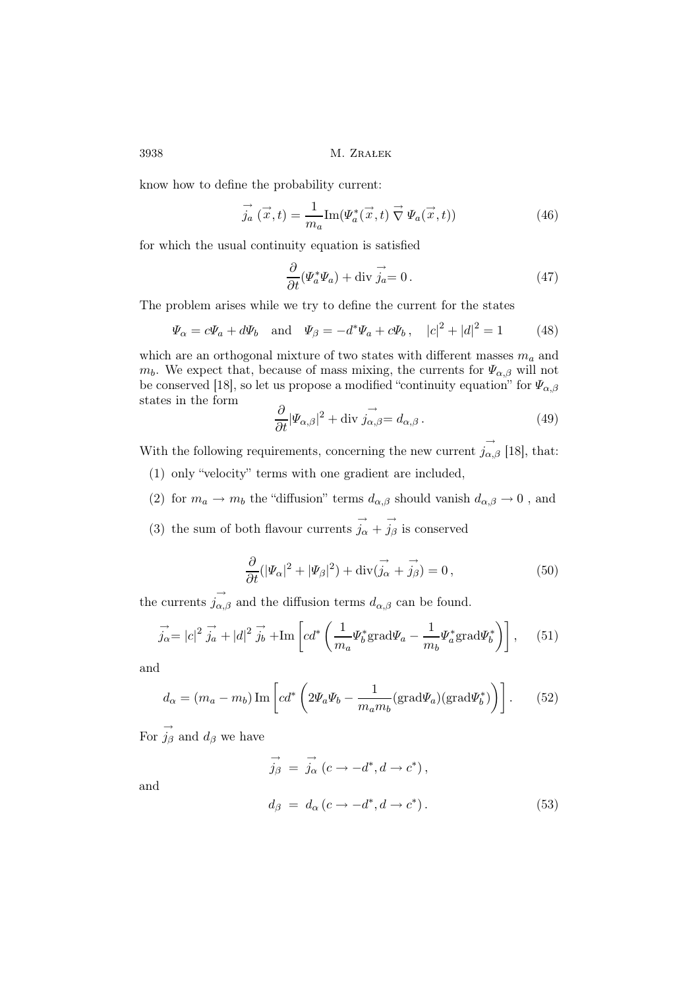know how to define the probability current:

$$
\overrightarrow{j_a}(\overrightarrow{x},t) = \frac{1}{m_a} \text{Im}(\Psi_a^*(\overrightarrow{x},t) \overrightarrow{\nabla} \Psi_a(\overrightarrow{x},t)) \tag{46}
$$

for which the usual continuity equation is satisfied

$$
\frac{\partial}{\partial t}(\Psi_a^* \Psi_a) + \text{div } \vec{j_a} = 0. \tag{47}
$$

The problem arises while we try to define the current for the states

$$
\Psi_{\alpha} = c\Psi_{a} + d\Psi_{b}
$$
 and  $\Psi_{\beta} = -d^{*}\Psi_{a} + c\Psi_{b}$ ,  $|c|^{2} + |d|^{2} = 1$  (48)

which are an orthogonal mixture of two states with different masses  $m_a$  and  $m_b$ . We expect that, because of mass mixing, the currents for  $\Psi_{\alpha,\beta}$  will not be conserved [18], so let us propose a modified "continuity equation" for  $\Psi_{\alpha,\beta}$ states in the form

$$
\frac{\partial}{\partial t} |\Psi_{\alpha,\beta}|^2 + \text{div } j_{\alpha,\beta} = d_{\alpha,\beta} \,. \tag{49}
$$

With the following requirements, concerning the new current  $\vec{j}_{\alpha,\beta}$  [18], that:

- (1) only "velocity" terms with one gradient are included,
- (2) for  $m_a \to m_b$  the "diffusion" terms  $d_{\alpha,\beta}$  should vanish  $d_{\alpha,\beta} \to 0$ , and
- (3) the sum of both flavour currents  $\vec{j}_{\alpha} + \vec{j}_{\beta}$  is conserved

$$
\frac{\partial}{\partial t}(|\varPsi_{\alpha}|^{2} + |\varPsi_{\beta}|^{2}) + \operatorname{div}(\vec{j_{\alpha}} + \vec{j_{\beta}}) = 0, \qquad (50)
$$

the currents  $\overrightarrow{j_{\alpha,\beta}}$  and the diffusion terms  $d_{\alpha,\beta}$  can be found.

$$
\overrightarrow{j_{\alpha}} = |c|^2 \overrightarrow{j_a} + |d|^2 \overrightarrow{j_b} + \text{Im} \left[ cd^* \left( \frac{1}{m_a} \Psi_b^* \text{grad} \Psi_a - \frac{1}{m_b} \Psi_a^* \text{grad} \Psi_b^* \right) \right], \quad (51)
$$

and

$$
d_{\alpha} = (m_a - m_b) \operatorname{Im} \left[ cd^* \left( 2 \Psi_a \Psi_b - \frac{1}{m_a m_b} (\text{grad} \Psi_a) (\text{grad} \Psi_b^*) \right) \right]. \tag{52}
$$

For  $\overrightarrow{j}_{\beta}$  and  $d_{\beta}$  we have

$$
\overrightarrow{j_{\beta}} = \overrightarrow{j_{\alpha}} (c \rightarrow -d^*, d \rightarrow c^*),
$$
  
\n
$$
d_{\beta} = d_{\alpha} (c \rightarrow -d^*, d \rightarrow c^*).
$$
\n(53)

and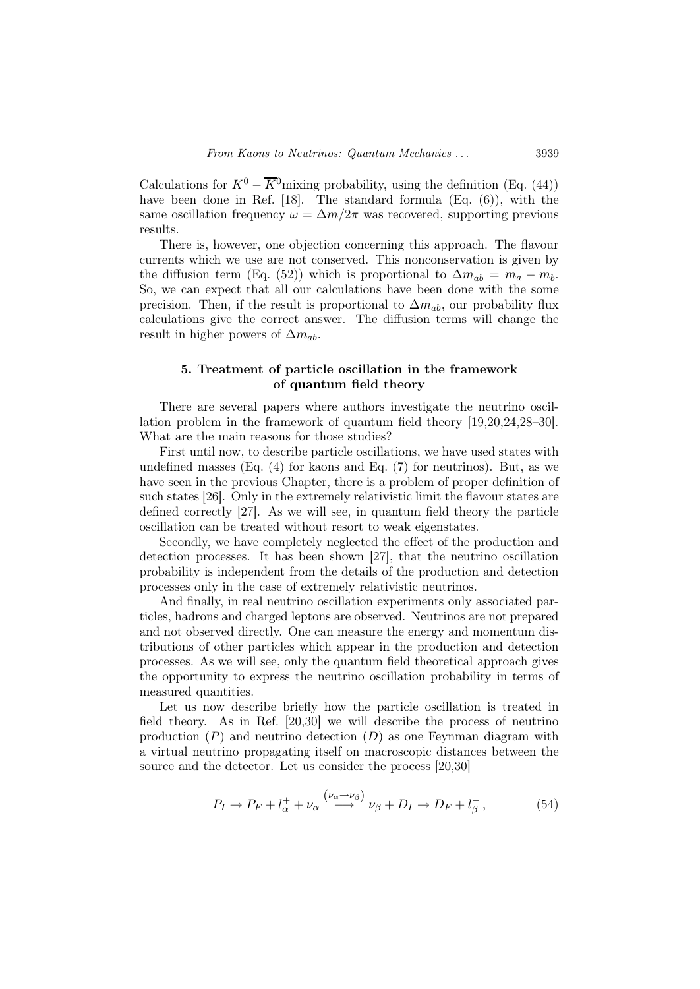Calculations for  $K^0 - \overline{K}{}^0$  mixing probability, using the definition (Eq. (44)) have been done in Ref. [18]. The standard formula (Eq. (6)), with the same oscillation frequency  $\omega = \Delta m/2\pi$  was recovered, supporting previous results.

There is, however, one objection concerning this approach. The flavour currents which we use are not conserved. This nonconservation is given by the diffusion term (Eq. (52)) which is proportional to  $\Delta m_{ab} = m_a - m_b$ . So, we can expect that all our calculations have been done with the some precision. Then, if the result is proportional to  $\Delta m_{ab}$ , our probability flux calculations give the correct answer. The diffusion terms will change the result in higher powers of  $\Delta m_{ab}$ .

# 5. Treatment of particle oscillation in the framework of quantum field theory

There are several papers where authors investigate the neutrino oscillation problem in the framework of quantum field theory [19,20,24,28–30]. What are the main reasons for those studies?

First until now, to describe particle oscillations, we have used states with undefined masses (Eq.  $(4)$  for kaons and Eq.  $(7)$  for neutrinos). But, as we have seen in the previous Chapter, there is a problem of proper definition of such states [26]. Only in the extremely relativistic limit the flavour states are defined correctly [27]. As we will see, in quantum field theory the particle oscillation can be treated without resort to weak eigenstates.

Secondly, we have completely neglected the effect of the production and detection processes. It has been shown [27], that the neutrino oscillation probability is independent from the details of the production and detection processes only in the case of extremely relativistic neutrinos.

And finally, in real neutrino oscillation experiments only associated particles, hadrons and charged leptons are observed. Neutrinos are not prepared and not observed directly. One can measure the energy and momentum distributions of other particles which appear in the production and detection processes. As we will see, only the quantum field theoretical approach gives the opportunity to express the neutrino oscillation probability in terms of measured quantities.

Let us now describe briefly how the particle oscillation is treated in field theory. As in Ref. [20,30] we will describe the process of neutrino production  $(P)$  and neutrino detection  $(D)$  as one Feynman diagram with a virtual neutrino propagating itself on macroscopic distances between the source and the detector. Let us consider the process [20,30]

$$
P_I \to P_F + l_\alpha^+ + \nu_\alpha \stackrel{(\nu_\alpha \to \nu_\beta)}{\longrightarrow} \nu_\beta + D_I \to D_F + l_\beta^-, \tag{54}
$$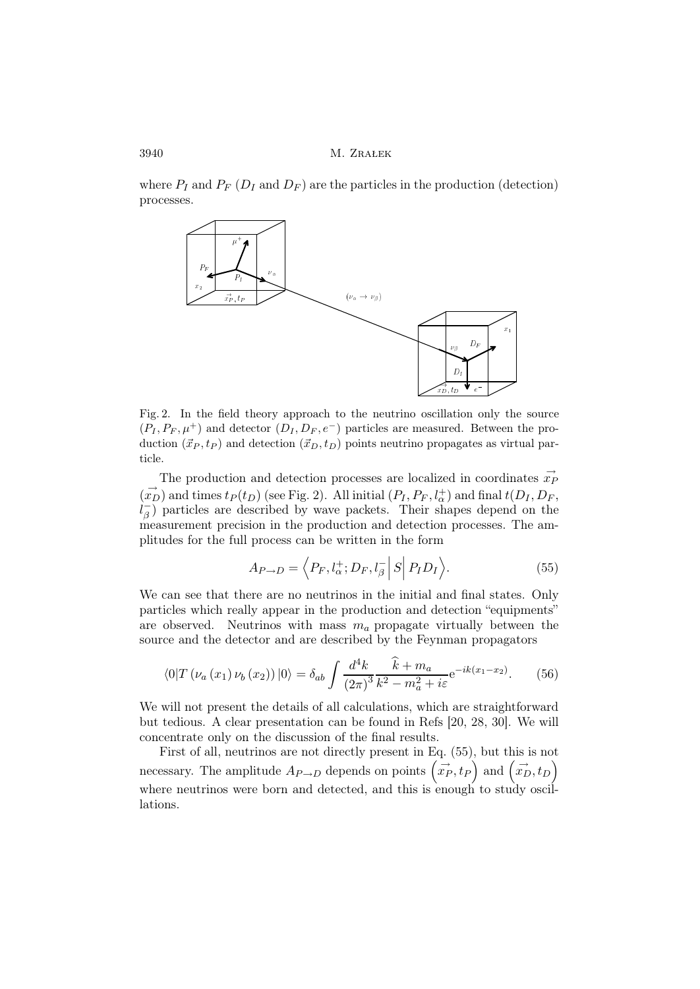where  $P_I$  and  $P_F$  ( $D_I$  and  $D_F$ ) are the particles in the production (detection) processes.



Fig. 2. In the field theory approach to the neutrino oscillation only the source  $(P_I, P_F, \mu^+)$  and detector  $(D_I, D_F, e^-)$  particles are measured. Between the production  $({\vec x}_P, t_P)$  and detection  $({\vec x}_D, t_D)$  points neutrino propagates as virtual particle.

The production and detection processes are localized in coordinates  $\vec{x_F}$  $(\vec{x_D})$  and times  $t_P(t_D)$  (see Fig. 2). All initial  $(P_I, P_F, l^+_{\alpha})$  and final  $t(D_I, D_F, l^+_{\alpha})$  $l_{\beta}^ \overline{\beta}$ ) particles are described by wave packets. Their shapes depend on the measurement precision in the production and detection processes. The amplitudes for the full process can be written in the form

$$
A_{P \to D} = \left\langle P_F, l_\alpha^+; D_F, l_\beta^- \right| S \Big| P_I D_I \right\rangle. \tag{55}
$$

We can see that there are no neutrinos in the initial and final states. Only particles which really appear in the production and detection "equipments" are observed. Neutrinos with mass  $m_a$  propagate virtually between the source and the detector and are described by the Feynman propagators

$$
\langle 0|T(\nu_a(x_1)\nu_b(x_2))|0\rangle = \delta_{ab} \int \frac{d^4k}{(2\pi)^3} \frac{\hat{k} + m_a}{k^2 - m_a^2 + i\varepsilon} e^{-ik(x_1 - x_2)}.\tag{56}
$$

We will not present the details of all calculations, which are straightforward but tedious. A clear presentation can be found in Refs [20, 28, 30]. We will concentrate only on the discussion of the final results.

First of all, neutrinos are not directly present in Eq. (55), but this is not necessary. The amplitude  $A_{P\rightarrow D}$  depends on points  $(\vec{x}_P, t_P)$  and  $(\vec{x}_D, t_D)$ where neutrinos were born and detected, and this is enough to study oscillations.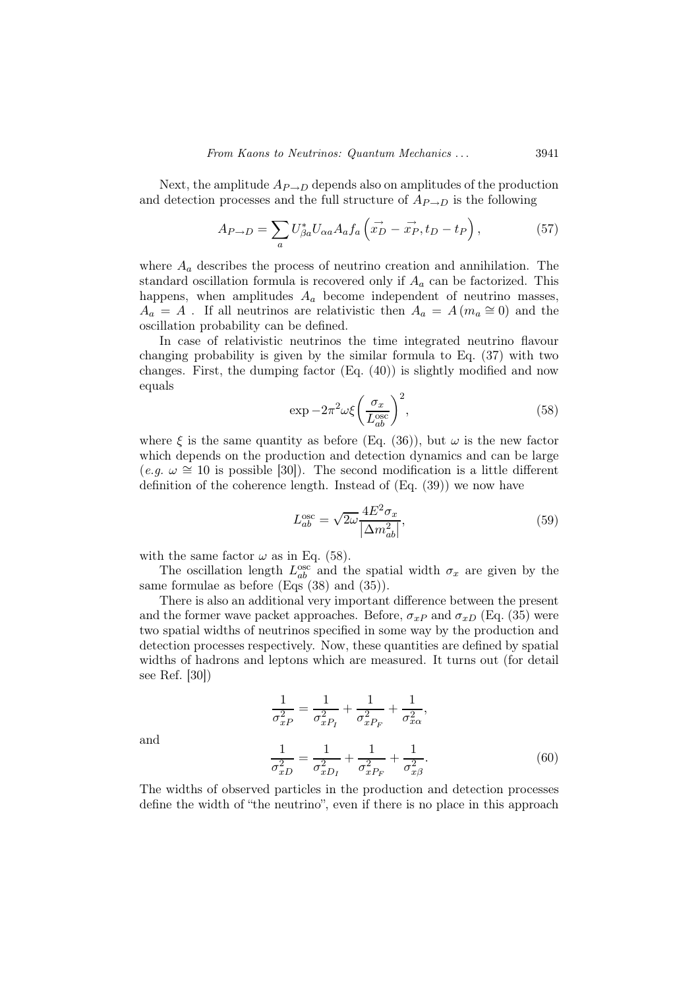Next, the amplitude  $A_{P\rightarrow D}$  depends also on amplitudes of the production and detection processes and the full structure of  $A_{P\rightarrow D}$  is the following

$$
A_{P \to D} = \sum_{a} U_{\beta a}^{*} U_{\alpha a} A_{a} f_{a} \left( \vec{x_{D}} - \vec{x_{P}}, t_{D} - t_{P} \right), \qquad (57)
$$

where  $A_a$  describes the process of neutrino creation and annihilation. The standard oscillation formula is recovered only if  $A_a$  can be factorized. This happens, when amplitudes  $A_a$  become independent of neutrino masses,  $A_a = A$ . If all neutrinos are relativistic then  $A_a = A(m_a \cong 0)$  and the oscillation probability can be defined.

In case of relativistic neutrinos the time integrated neutrino flavour changing probability is given by the similar formula to Eq. (37) with two changes. First, the dumping factor (Eq. (40)) is slightly modified and now equals

$$
\exp -2\pi^2 \omega \xi \left(\frac{\sigma_x}{L_{ab}^{\text{osc}}}\right)^2,\tag{58}
$$

where  $\xi$  is the same quantity as before (Eq. (36)), but  $\omega$  is the new factor which depends on the production and detection dynamics and can be large  $(e.g. \omega \cong 10$  is possible [30]). The second modification is a little different definition of the coherence length. Instead of (Eq. (39)) we now have

$$
L_{ab}^{\text{osc}} = \sqrt{2\omega} \frac{4E^2 \sigma_x}{|\Delta m_{ab}^2|},\tag{59}
$$

with the same factor  $\omega$  as in Eq. (58).

The oscillation length  $L_{ab}^{\text{osc}}$  and the spatial width  $\sigma_x$  are given by the same formulae as before (Eqs (38) and (35)).

There is also an additional very important difference between the present and the former wave packet approaches. Before,  $\sigma_{xP}$  and  $\sigma_{xD}$  (Eq. (35) were two spatial widths of neutrinos specified in some way by the production and detection processes respectively. Now, these quantities are defined by spatial widths of hadrons and leptons which are measured. It turns out (for detail see Ref. [30])

$$
\frac{1}{\sigma_{xP}^2} = \frac{1}{\sigma_{xP_I}^2} + \frac{1}{\sigma_{xP_F}^2} + \frac{1}{\sigma_{x\alpha}^2},
$$
\n
$$
\frac{1}{\sigma_{xD}^2} = \frac{1}{\sigma_{xD_I}^2} + \frac{1}{\sigma_{xP_F}^2} + \frac{1}{\sigma_{x\beta}^2}.
$$
\n(60)

and

The widths of observed particles in the production and detection processes define the width of "the neutrino", even if there is no place in this approach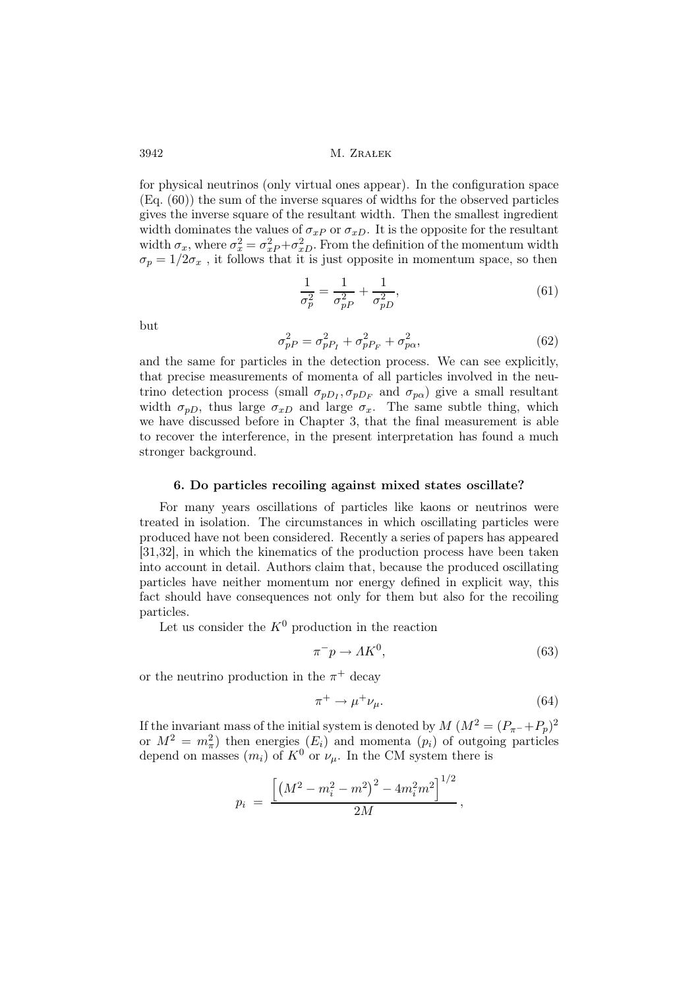for physical neutrinos (only virtual ones appear). In the configuration space (Eq. (60)) the sum of the inverse squares of widths for the observed particles gives the inverse square of the resultant width. Then the smallest ingredient width dominates the values of  $\sigma_{xP}$  or  $\sigma_{xD}$ . It is the opposite for the resultant width  $\sigma_x$ , where  $\sigma_x^2 = \sigma_{x}^2 + \sigma_{x}^2$ . From the definition of the momentum width  $\sigma_p = 1/2\sigma_x$ , it follows that it is just opposite in momentum space, so then

$$
\frac{1}{\sigma_p^2} = \frac{1}{\sigma_{pP}^2} + \frac{1}{\sigma_{pD}^2},\tag{61}
$$

but

$$
\sigma_{pP}^2 = \sigma_{pP_I}^2 + \sigma_{pP_F}^2 + \sigma_{p\alpha}^2,\tag{62}
$$

and the same for particles in the detection process. We can see explicitly, that precise measurements of momenta of all particles involved in the neutrino detection process (small  $\sigma_{pD_I}, \sigma_{pD_F}$  and  $\sigma_{p\alpha}$ ) give a small resultant width  $\sigma_{pD}$ , thus large  $\sigma_{xD}$  and large  $\sigma_x$ . The same subtle thing, which we have discussed before in Chapter 3, that the final measurement is able to recover the interference, in the present interpretation has found a much stronger background.

## 6. Do particles recoiling against mixed states oscillate?

For many years oscillations of particles like kaons or neutrinos were treated in isolation. The circumstances in which oscillating particles were produced have not been considered. Recently a series of papers has appeared [31,32], in which the kinematics of the production process have been taken into account in detail. Authors claim that, because the produced oscillating particles have neither momentum nor energy defined in explicit way, this fact should have consequences not only for them but also for the recoiling particles.

Let us consider the  $K^0$  production in the reaction

$$
\pi^- p \to \Lambda K^0,\tag{63}
$$

or the neutrino production in the  $\pi^+$  decay

$$
\pi^+ \to \mu^+ \nu_\mu. \tag{64}
$$

If the invariant mass of the initial system is denoted by  $M (M^2 = (P_{\pi^-} + P_p)^2)$ or  $M^2 = m_{\pi}^2$  then energies  $(E_i)$  and momenta  $(p_i)$  of outgoing particles depend on masses  $(m_i)$  of  $K^0$  or  $\nu_\mu$ . In the CM system there is

$$
p_i = \frac{\left[ \left(M^2 - m_i^2 - m^2\right)^2 - 4m_i^2 m^2\right]^{1/2}}{2M},
$$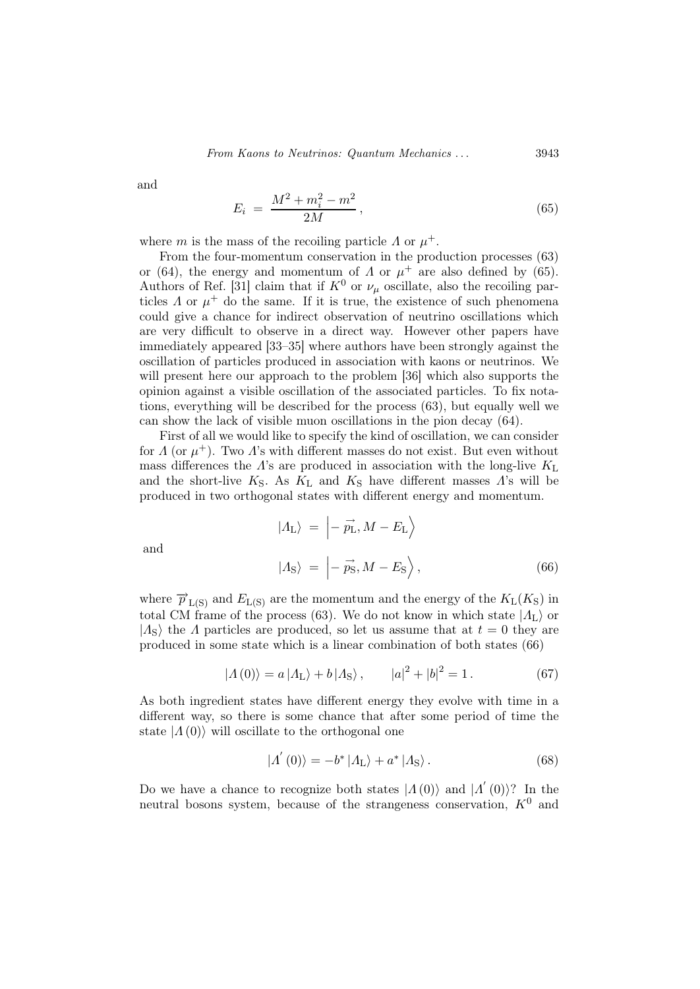and

$$
E_i = \frac{M^2 + m_i^2 - m^2}{2M},
$$
\n(65)

where m is the mass of the recoiling particle  $\Lambda$  or  $\mu^+$ .

From the four-momentum conservation in the production processes (63) or (64), the energy and momentum of  $\Lambda$  or  $\mu^+$  are also defined by (65). Authors of Ref. [31] claim that if  $K^0$  or  $\nu_\mu$  oscillate, also the recoiling particles  $\Lambda$  or  $\mu^+$  do the same. If it is true, the existence of such phenomena could give a chance for indirect observation of neutrino oscillations which are very difficult to observe in a direct way. However other papers have immediately appeared [33–35] where authors have been strongly against the oscillation of particles produced in association with kaons or neutrinos. We will present here our approach to the problem [36] which also supports the opinion against a visible oscillation of the associated particles. To fix notations, everything will be described for the process (63), but equally well we can show the lack of visible muon oscillations in the pion decay (64).

First of all we would like to specify the kind of oscillation, we can consider for  $\Lambda$  (or  $\mu^+$ ). Two  $\Lambda$ 's with different masses do not exist. But even without mass differences the  $\Lambda$ 's are produced in association with the long-live  $K_{\rm L}$ and the short-live  $K_S$ . As  $K_L$  and  $K_S$  have different masses  $\Lambda$ 's will be produced in two orthogonal states with different energy and momentum.

$$
|A_{\text{L}}\rangle = \left| -\vec{p}_{\text{L}}, M - E_{\text{L}} \right\rangle
$$
  

$$
|A_{\text{S}}\rangle = \left| -\vec{p}_{\text{S}}, M - E_{\text{S}} \right\rangle, \tag{66}
$$

and

where 
$$
\overrightarrow{p}_{L(S)}
$$
 and  $E_{L(S)}$  are the momentum and the energy of the  $K_L(K_S)$  in  
total CM frame of the process (63). We do not know in which state  $|A_L\rangle$  or  
 $|A_S\rangle$  the  $\Lambda$  particles are produced, so let us assume that at  $t = 0$  they are  
produced in some state which is a linear combination of both states (66)

$$
|A(0)\rangle = a |A_{L}\rangle + b |A_{S}\rangle, \qquad |a|^{2} + |b|^{2} = 1.
$$
 (67)

As both ingredient states have different energy they evolve with time in a different way, so there is some chance that after some period of time the state  $|\Lambda(0)\rangle$  will oscillate to the orthogonal one

$$
|\Lambda'(0)\rangle = -b^* |\Lambda_{\mathcal{L}}\rangle + a^* |\Lambda_{\mathcal{S}}\rangle.
$$
 (68)

Do we have a chance to recognize both states  $|\Lambda(0)\rangle$  and  $|\Lambda'(0)\rangle$ ? In the neutral bosons system, because of the strangeness conservation,  $K^0$  and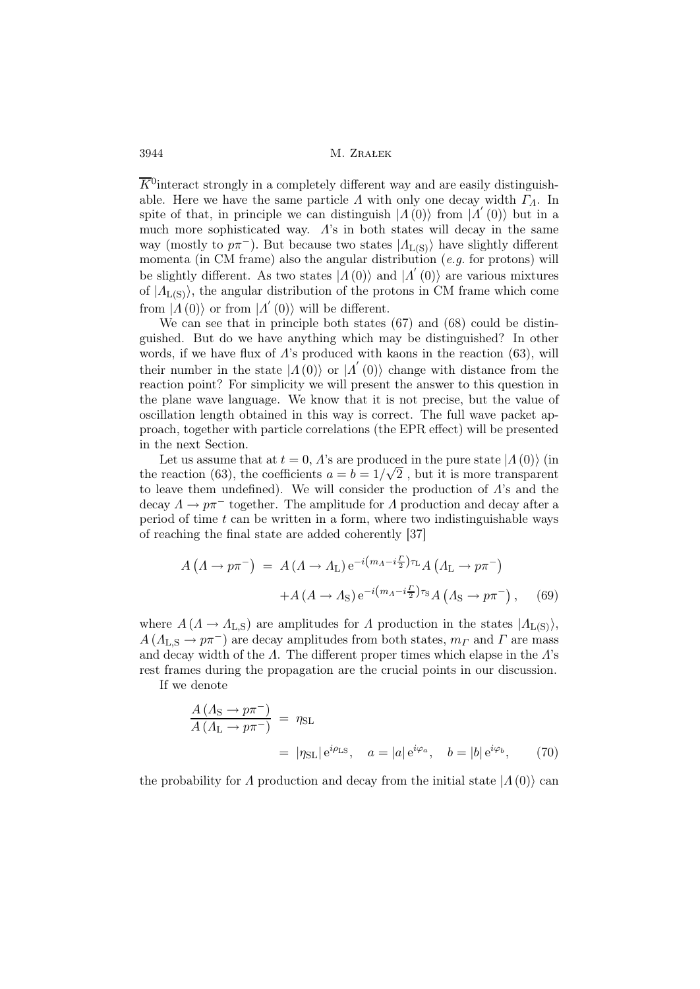$\overline{K}^0$  interact strongly in a completely different way and are easily distinguishable. Here we have the same particle  $\Lambda$  with only one decay width  $\Gamma_{\Lambda}$ . In spite of that, in principle we can distinguish  $|A(0)\rangle$  from  $|A'(0)\rangle$  but in a much more sophisticated way.  $\Lambda$ 's in both states will decay in the same way (mostly to  $p\pi^-$ ). But because two states  $|A_{L(S)}\rangle$  have slightly different momenta (in CM frame) also the angular distribution (e.g. for protons) will be slightly different. As two states  $|A(0)\rangle$  and  $|A'(0)\rangle$  are various mixtures of  $|A_{L(S)}\rangle$ , the angular distribution of the protons in CM frame which come from  $|A(0)\rangle$  or from  $|A'(0)\rangle$  will be different.

We can see that in principle both states (67) and (68) could be distinguished. But do we have anything which may be distinguished? In other words, if we have flux of  $\Lambda$ 's produced with kaons in the reaction (63), will their number in the state  $|\Lambda(0)\rangle$  or  $|\Lambda'(0)\rangle$  change with distance from the reaction point? For simplicity we will present the answer to this question in the plane wave language. We know that it is not precise, but the value of oscillation length obtained in this way is correct. The full wave packet approach, together with particle correlations (the EPR effect) will be presented in the next Section.

Let us assume that at  $t = 0$ , A's are produced in the pure state  $\ket{\Lambda(0)}$  (in the reaction (63), the coefficients  $a = b = 1/\sqrt{2}$ , but it is more transparent to leave them undefined). We will consider the production of  $\Lambda$ 's and the decay  $\Lambda \to p\pi^-$  together. The amplitude for  $\Lambda$  production and decay after a period of time  $t$  can be written in a form, where two indistinguishable ways of reaching the final state are added coherently [37]

$$
A\left(\Lambda \to p\pi^{-}\right) = A\left(\Lambda \to \Lambda_{\mathcal{L}}\right) e^{-i\left(m_{\Lambda} - i\frac{\Gamma}{2}\right)\tau_{\mathcal{L}}} A\left(\Lambda_{\mathcal{L}} \to p\pi^{-}\right) + A\left(A \to \Lambda_{\mathcal{S}}\right) e^{-i\left(m_{\Lambda} - i\frac{\Gamma}{2}\right)\tau_{\mathcal{S}}} A\left(\Lambda_{\mathcal{S}} \to p\pi^{-}\right), \quad (69)
$$

where  $A(\Lambda \to \Lambda_{L,S})$  are amplitudes for  $\Lambda$  production in the states  $|\Lambda_{L(S)}\rangle$ ,  $A (A_{L,S} \to p\pi^-)$  are decay amplitudes from both states,  $m \to n\pi^-$  and  $\Gamma$  are mass and decay width of the  $\Lambda$ . The different proper times which elapse in the  $\Lambda$ 's rest frames during the propagation are the crucial points in our discussion.

If we denote

$$
\frac{A\left(\Lambda_{\rm S} \to p\pi^{-}\right)}{A\left(\Lambda_{\rm L} \to p\pi^{-}\right)} = \eta_{\rm SL}
$$
\n
$$
= |\eta_{\rm SL}| e^{i\rho_{\rm LS}}, \quad a = |a| e^{i\varphi_a}, \quad b = |b| e^{i\varphi_b}, \tag{70}
$$

the probability for  $\Lambda$  production and decay from the initial state  $|\Lambda(0)\rangle$  can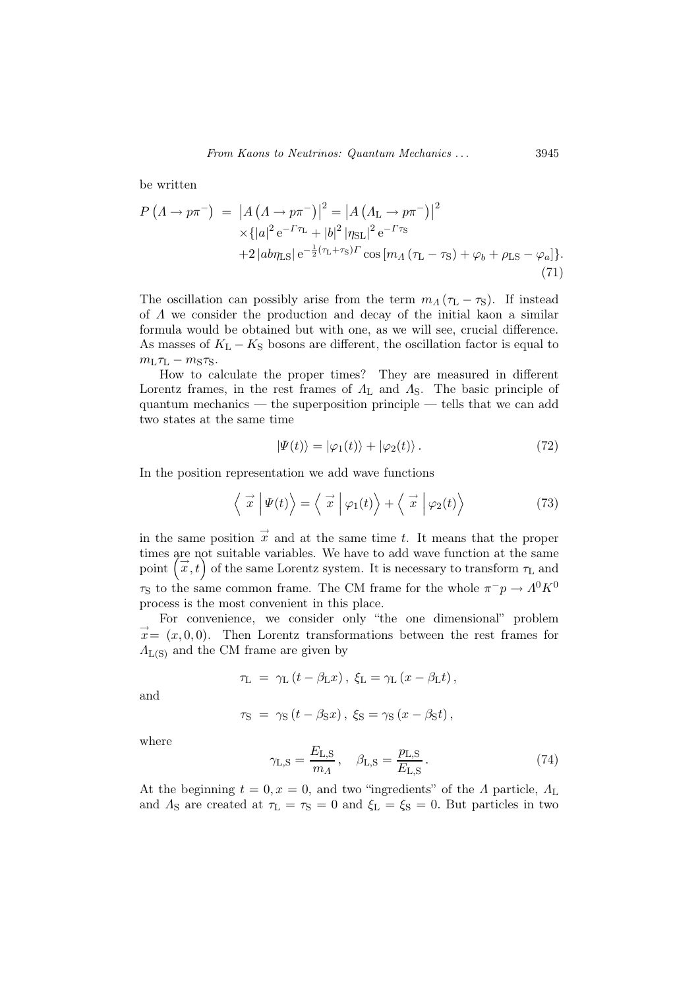be written

$$
P(A \to p\pi^{-}) = |A(A \to p\pi^{-})|^2 = |A(A_{\text{L}} \to p\pi^{-})|^2
$$
  
 
$$
\times \{|a|^2 e^{-\Gamma \tau_{\text{L}}} + |b|^2 |\eta_{\text{SL}}|^2 e^{-\Gamma \tau_{\text{S}}}
$$
  
 
$$
+ 2 |ab \eta_{\text{LS}}| e^{-\frac{1}{2}(\tau_{\text{L}} + \tau_{\text{S}})\Gamma} \cos [m_A(\tau_{\text{L}} - \tau_{\text{S}}) + \varphi_b + \rho_{\text{LS}} - \varphi_a] \}.
$$
  
(71)

The oscillation can possibly arise from the term  $m_A(\tau_L - \tau_S)$ . If instead of  $\Lambda$  we consider the production and decay of the initial kaon a similar formula would be obtained but with one, as we will see, crucial difference. As masses of  $K_L - K_S$  bosons are different, the oscillation factor is equal to  $m<sub>L</sub> \tau<sub>L</sub> - m<sub>S</sub> \tau<sub>S</sub>$ .

How to calculate the proper times? They are measured in different Lorentz frames, in the rest frames of  $\Lambda_{\rm L}$  and  $\Lambda_{\rm S}$ . The basic principle of quantum mechanics — the superposition principle — tells that we can add two states at the same time

$$
|\Psi(t)\rangle = |\varphi_1(t)\rangle + |\varphi_2(t)\rangle. \tag{72}
$$

In the position representation we add wave functions

$$
\langle \vec{x} | \Psi(t) \rangle = \langle \vec{x} | \varphi_1(t) \rangle + \langle \vec{x} | \varphi_2(t) \rangle \tag{73}
$$

in the same position  $\vec{x}$  and at the same time t. It means that the proper times are not suitable variables. We have to add wave function at the same point  $(\vec{x}, t)$  of the same Lorentz system. It is necessary to transform  $\tau_L$  and  $\tau_{\rm S}$  to the same common frame. The CM frame for the whole  $\pi^-p \to \Lambda^0 K^0$ process is the most convenient in this place.

For convenience, we consider only "the one dimensional" problem  $\vec{x} = (x, 0, 0)$ . Then Lorentz transformations between the rest frames for  $\Lambda_{\text{L(S)}}$  and the CM frame are given by

$$
\tau_{\rm L} = \gamma_{\rm L} (t - \beta_{\rm L} x), \xi_{\rm L} = \gamma_{\rm L} (x - \beta_{\rm L} t),
$$
  

$$
\tau_{\rm S} = \gamma_{\rm S} (t - \beta_{\rm S} x), \xi_{\rm S} = \gamma_{\rm S} (x - \beta_{\rm S} t),
$$

and

where

$$
\gamma_{L,S} = \frac{E_{L,S}}{m_A}, \quad \beta_{L,S} = \frac{p_{L,S}}{E_{L,S}}.
$$
\n(74)

At the beginning  $t = 0, x = 0$ , and two "ingredients" of the  $\Lambda$  particle,  $\Lambda_{\rm L}$ and  $\Lambda_{\rm S}$  are created at  $\tau_{\rm L} = \tau_{\rm S} = 0$  and  $\xi_{\rm L} = \xi_{\rm S} = 0$ . But particles in two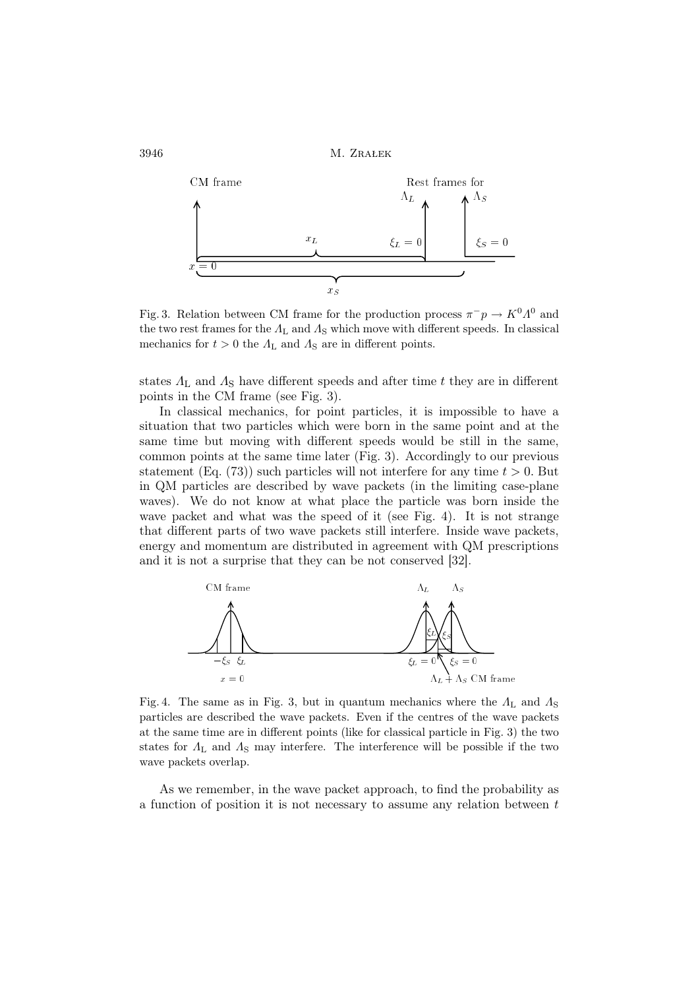

Fig. 3. Relation between CM frame for the production process  $\pi^- p \to K^0 \Lambda^0$  and the two rest frames for the  $\Lambda_{\rm L}$  and  $\Lambda_{\rm S}$  which move with different speeds. In classical mechanics for  $t > 0$  the  $\Lambda_{\rm L}$  and  $\Lambda_{\rm S}$  are in different points.

states  $\Lambda_{\rm L}$  and  $\Lambda_{\rm S}$  have different speeds and after time t they are in different points in the CM frame (see Fig. 3).

In classical mechanics, for point particles, it is impossible to have a situation that two particles which were born in the same point and at the same time but moving with different speeds would be still in the same, common points at the same time later (Fig. 3). Accordingly to our previous statement (Eq. (73)) such particles will not interfere for any time  $t > 0$ . But in QM particles are described by wave packets (in the limiting case-plane waves). We do not know at what place the particle was born inside the wave packet and what was the speed of it (see Fig. 4). It is not strange that different parts of two wave packets still interfere. Inside wave packets, energy and momentum are distributed in agreement with QM prescriptions and it is not a surprise that they can be not conserved [32].



Fig. 4. The same as in Fig. 3, but in quantum mechanics where the  $\Lambda_{\rm L}$  and  $\Lambda_{\rm S}$ particles are described the wave packets. Even if the centres of the wave packets at the same time are in different points (like for classical particle in Fig. 3) the two states for  $\Lambda_{\rm L}$  and  $\Lambda_{\rm S}$  may interfere. The interference will be possible if the two wave packets overlap.

As we remember, in the wave packet approach, to find the probability as a function of position it is not necessary to assume any relation between  $t$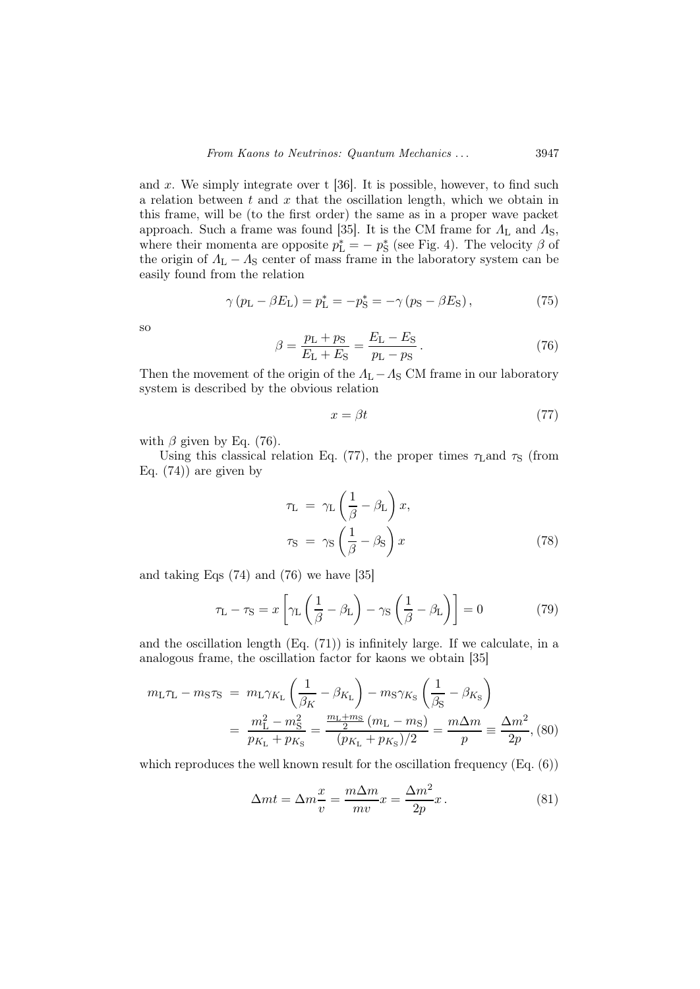and  $x$ . We simply integrate over t [36]. It is possible, however, to find such a relation between  $t$  and  $x$  that the oscillation length, which we obtain in this frame, will be (to the first order) the same as in a proper wave packet approach. Such a frame was found [35]. It is the CM frame for  $\Lambda_{\rm L}$  and  $\Lambda_{\rm S}$ , where their momenta are opposite  $p_L^* = -p_S^*$  (see Fig. 4). The velocity  $\beta$  of the origin of  $\Lambda_{\rm L} - \Lambda_{\rm S}$  center of mass frame in the laboratory system can be easily found from the relation

$$
\gamma (p_{\rm L} - \beta E_{\rm L}) = p_{\rm L}^* = -p_{\rm S}^* = -\gamma (p_{\rm S} - \beta E_{\rm S}), \qquad (75)
$$

so

$$
\beta = \frac{p_{\rm L} + p_{\rm S}}{E_{\rm L} + E_{\rm S}} = \frac{E_{\rm L} - E_{\rm S}}{p_{\rm L} - p_{\rm S}}.\tag{76}
$$

Then the movement of the origin of the  $Λ<sub>L</sub> - Λ<sub>S</sub>$  CM frame in our laboratory system is described by the obvious relation

$$
x = \beta t \tag{77}
$$

with  $\beta$  given by Eq. (76).

Using this classical relation Eq. (77), the proper times  $\tau_{\text{L}}$  and  $\tau_{\text{S}}$  (from Eq.  $(74)$  are given by

$$
\tau_{\rm L} = \gamma_{\rm L} \left( \frac{1}{\beta} - \beta_{\rm L} \right) x,
$$
  

$$
\tau_{\rm S} = \gamma_{\rm S} \left( \frac{1}{\beta} - \beta_{\rm S} \right) x
$$
 (78)

and taking Eqs (74) and (76) we have [35]

$$
\tau_{\rm L} - \tau_{\rm S} = x \left[ \gamma_{\rm L} \left( \frac{1}{\beta} - \beta_{\rm L} \right) - \gamma_{\rm S} \left( \frac{1}{\beta} - \beta_{\rm L} \right) \right] = 0 \tag{79}
$$

and the oscillation length (Eq. (71)) is infinitely large. If we calculate, in a analogous frame, the oscillation factor for kaons we obtain [35]

$$
m_{\rm L}\tau_{\rm L} - m_{\rm S}\tau_{\rm S} = m_{\rm L}\gamma_{K_{\rm L}} \left(\frac{1}{\beta_K} - \beta_{K_{\rm L}}\right) - m_{\rm S}\gamma_{K_{\rm S}} \left(\frac{1}{\beta_{\rm S}} - \beta_{K_{\rm S}}\right)
$$
  
= 
$$
\frac{m_{\rm L}^2 - m_{\rm S}^2}{p_{K_{\rm L}} + p_{K_{\rm S}}} = \frac{m_{\rm L} + m_{\rm S}}{p_{K_{\rm L}} + p_{K_{\rm S}}/2} = \frac{m_{\rm \Delta}m}{p} = \frac{\Delta m^2}{2p},
$$
(80)

which reproduces the well known result for the oscillation frequency (Eq.  $(6)$ )

$$
\Delta m t = \Delta m \frac{x}{v} = \frac{m \Delta m}{mv} x = \frac{\Delta m^2}{2p} x. \tag{81}
$$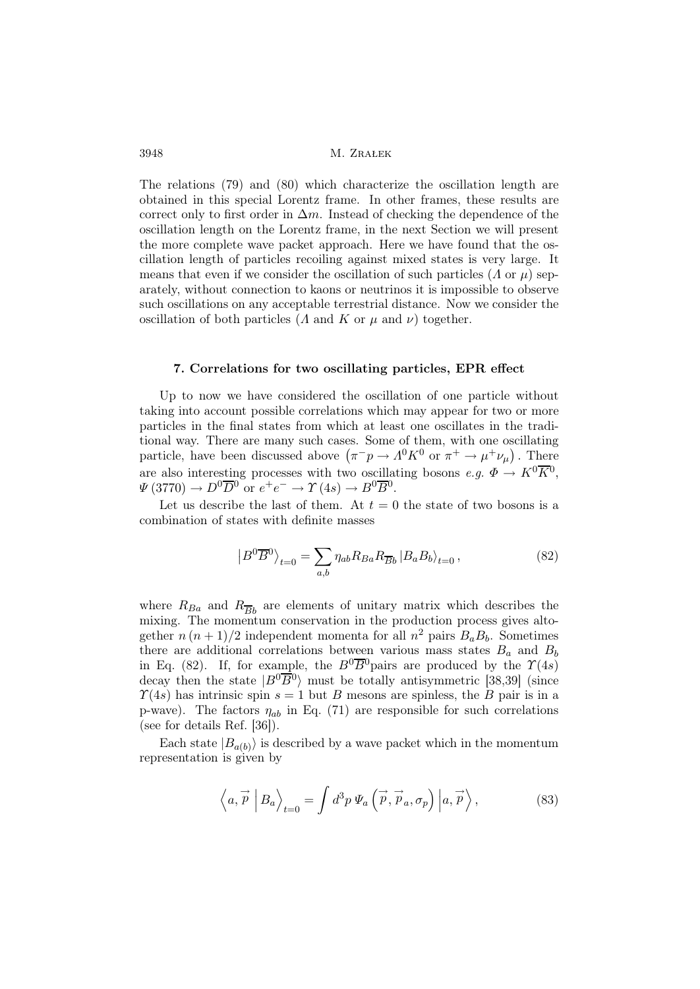The relations (79) and (80) which characterize the oscillation length are obtained in this special Lorentz frame. In other frames, these results are correct only to first order in  $\Delta m$ . Instead of checking the dependence of the oscillation length on the Lorentz frame, in the next Section we will present the more complete wave packet approach. Here we have found that the oscillation length of particles recoiling against mixed states is very large. It means that even if we consider the oscillation of such particles ( $\Lambda$  or  $\mu$ ) separately, without connection to kaons or neutrinos it is impossible to observe such oscillations on any acceptable terrestrial distance. Now we consider the oscillation of both particles ( $\Lambda$  and  $\overline{K}$  or  $\mu$  and  $\nu$ ) together.

#### 7. Correlations for two oscillating particles, EPR effect

Up to now we have considered the oscillation of one particle without taking into account possible correlations which may appear for two or more particles in the final states from which at least one oscillates in the traditional way. There are many such cases. Some of them, with one oscillating particle, have been discussed above  $(\pi^- p \to A^0 K^0 \text{ or } \pi^+ \to \mu^+ \nu_\mu)$ . There are also interesting processes with two oscillating bosons  $e.g. \ \Phi \to K^0 \overline{K}^0$ ,  $\Psi(3770) \to D^0 \overline{D}{}^0$  or  $e^+e^- \to \Upsilon(4s) \to B^0 \overline{B}{}^0$ .

Let us describe the last of them. At  $t = 0$  the state of two bosons is a combination of states with definite masses

$$
\left|B^{0}\overline{B}^{0}\right\rangle_{t=0} = \sum_{a,b} \eta_{ab} R_{Ba} R_{\overline{B}b} \left|B_{a} B_{b}\right\rangle_{t=0},\tag{82}
$$

where  $R_{Ba}$  and  $R_{\overline{B}b}$  are elements of unitary matrix which describes the mixing. The momentum conservation in the production process gives altogether  $n (n + 1)/2$  independent momenta for all  $n^2$  pairs  $B_a B_b$ . Sometimes there are additional correlations between various mass states  $B_a$  and  $B_b$ in Eq. (82). If, for example, the  $B^0\overline{B}{}^0$  pairs are produced by the  $\Upsilon(4s)$ decay then the state  $|B^0\overline{B}{}^0\rangle$  must be totally antisymmetric [38,39] (since  $\Upsilon(4s)$  has intrinsic spin  $s = 1$  but B mesons are spinless, the B pair is in a p-wave). The factors  $\eta_{ab}$  in Eq. (71) are responsible for such correlations (see for details Ref. [36]).

Each state  $|B_{a(b)}\rangle$  is described by a wave packet which in the momentum representation is given by

$$
\left\langle a, \overrightarrow{p} \, \left| B_a \right\rangle_{t=0} = \int d^3 p \, \Psi_a \left( \overrightarrow{p}, \overrightarrow{p}_a, \sigma_p \right) \left| a, \overrightarrow{p} \right\rangle, \tag{83}
$$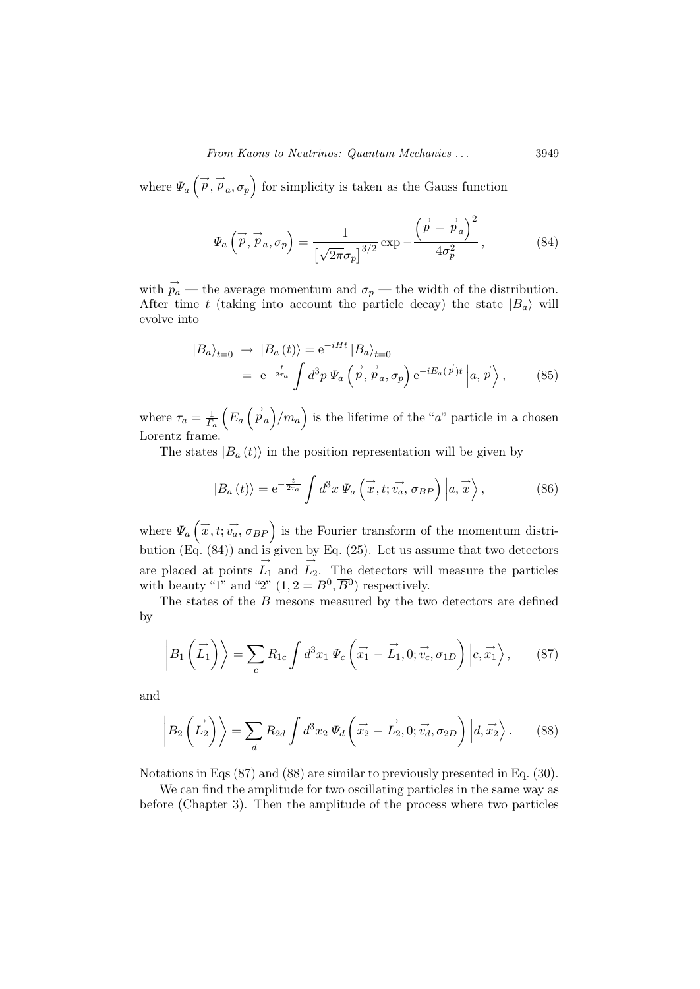where  $\Psi_a(\vec{p}, \vec{p}_a, \sigma_p)$  for simplicity is taken as the Gauss function

$$
\Psi_a\left(\vec{p}, \vec{p}_a, \sigma_p\right) = \frac{1}{\left[\sqrt{2\pi}\sigma_p\right]^{3/2}} \exp\left(-\frac{\left(\vec{p} - \vec{p}_a\right)^2}{4\sigma_p^2}\right),\tag{84}
$$

with  $\vec{p}_a$  — the average momentum and  $\sigma_p$  — the width of the distribution. After time t (taking into account the particle decay) the state  $|B_a\rangle$  will evolve into

$$
\begin{split} \left| B_{a} \right\rangle_{t=0} &\to \left| B_{a} \left( t \right) \right\rangle = \mathrm{e}^{-iHt} \left| B_{a} \right\rangle_{t=0} \\ &= \mathrm{e}^{-\frac{t}{2\tau_{a}}} \int d^{3}p \, \Psi_{a} \left( \vec{p}, \vec{p}_{a}, \sigma_{p} \right) \mathrm{e}^{-iE_{a}(\vec{p})t} \left| a, \vec{p} \right\rangle, \end{split} \tag{85}
$$

where  $\tau_a = \frac{1}{L}$  $\Gamma_a$  $(E_a(\vec{p}_a)/m_a)$  is the lifetime of the "a" particle in a chosen Lorentz frame.

The states  $|B_a(t)\rangle$  in the position representation will be given by

$$
|B_a(t)\rangle = e^{-\frac{t}{2\tau_a}} \int d^3x \, \Psi_a\left(\vec{x}, t; \vec{v_a}, \sigma_{BP}\right) \left|a, \vec{x}\right\rangle, \tag{86}
$$

where  $\Psi_a(\vec{x},t;\vec{v_a},\sigma_{BP})$  is the Fourier transform of the momentum distribution (Eq. (84)) and is given by Eq. (25). Let us assume that two detectors are placed at points  $L_1$  and  $L_2$ . The detectors will measure the particles with beauty "1" and "2"  $(1, 2 = B^0, \overline{B}{}^0)$  respectively.

The states of the B mesons measured by the two detectors are defined by

$$
\left| B_1\left(\vec{L_1}\right) \right\rangle = \sum_c R_{1c} \int d^3x_1 \, \Psi_c \left(\vec{x_1} - \vec{L_1}, 0; \vec{v_c}, \sigma_{1D}\right) \left| c, \vec{x_1} \right\rangle, \tag{87}
$$

and

$$
\left| B_2\left(\vec{L_2}\right) \right\rangle = \sum_d R_{2d} \int d^3x_2 \, \Psi_d \left( \vec{x_2} - \vec{L_2}, 0; \vec{v_d}, \sigma_{2D} \right) \left| d, \vec{x_2} \right\rangle. \tag{88}
$$

Notations in Eqs (87) and (88) are similar to previously presented in Eq. (30).

We can find the amplitude for two oscillating particles in the same way as before (Chapter 3). Then the amplitude of the process where two particles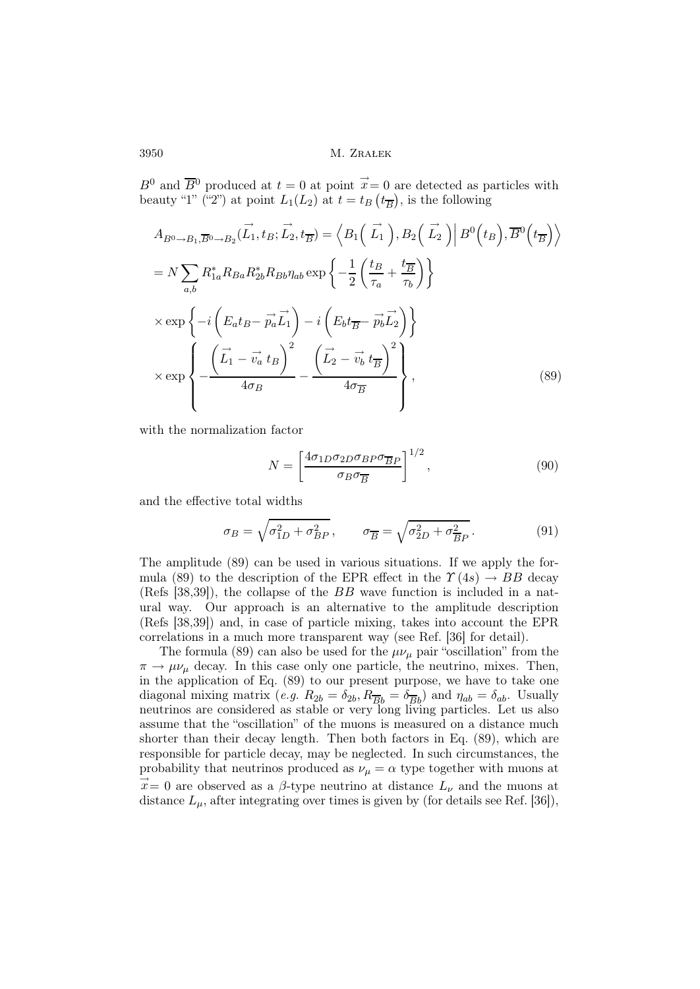$B^0$  and  $\overline{B}{}^0$  produced at  $t = 0$  at point  $\overrightarrow{x} = 0$  are detected as particles with beauty "1" ("2") at point  $L_1(L_2)$  at  $t = t_B(t_{\overline{B}})$ , is the following

$$
A_{B^0 \to B_1, \overline{B^0} \to B_2}(\overrightarrow{L_1}, t_B; \overrightarrow{L_2}, t_{\overline{B}}) = \left\langle B_1(\overrightarrow{L_1}), B_2(\overrightarrow{L_2}) \middle| B^0(t_B), \overline{B}^0(t_{\overline{B}}) \right\rangle
$$
  
\n
$$
= N \sum_{a,b} R_{1a}^* R_{Ba} R_{2b}^* R_{Bb} \eta_{ab} \exp \left\{ -\frac{1}{2} \left( \frac{t_B}{\tau_a} + \frac{t_{\overline{B}}}{\tau_b} \right) \right\}
$$
  
\n
$$
\times \exp \left\{ -i \left( E_a t_B - \overrightarrow{p_a} \overrightarrow{L_1} \right) - i \left( E_b t_{\overline{B}} - \overrightarrow{p_b} \overrightarrow{L_2} \right) \right\}
$$
  
\n
$$
\times \exp \left\{ -\frac{\left( \overrightarrow{L_1} - \overrightarrow{v_a} t_B \right)^2}{4\sigma_B} - \frac{\left( \overrightarrow{L_2} - \overrightarrow{v_b} t_{\overline{B}} \right)^2}{4\sigma_{\overline{B}}} \right\},
$$
(89)

with the normalization factor

$$
N = \left[\frac{4\sigma_{1D}\sigma_{2D}\sigma_{BP}\sigma_{\overline{BP}}}{\sigma_{B}\sigma_{\overline{B}}}\right]^{1/2},\tag{90}
$$

and the effective total widths

$$
\sigma_B = \sqrt{\sigma_{1D}^2 + \sigma_{BP}^2}, \qquad \sigma_{\overline{B}} = \sqrt{\sigma_{2D}^2 + \sigma_{\overline{BP}}^2}.
$$
 (91)

The amplitude (89) can be used in various situations. If we apply the formula (89) to the description of the EPR effect in the  $\Upsilon(4s) \rightarrow BB$  decay (Refs [38,39]), the collapse of the BB wave function is included in a natural way. Our approach is an alternative to the amplitude description (Refs [38,39]) and, in case of particle mixing, takes into account the EPR correlations in a much more transparent way (see Ref. [36] for detail).

The formula (89) can also be used for the  $\mu\nu_{\mu}$  pair "oscillation" from the  $\pi \to \mu \nu_{\mu}$  decay. In this case only one particle, the neutrino, mixes. Then, in the application of Eq. (89) to our present purpose, we have to take one diagonal mixing matrix (e.g.  $R_{2b} = \delta_{2b}$ ,  $R_{\overline{B}b} = \delta_{\overline{B}b}$ ) and  $\eta_{ab} = \delta_{ab}$ . Usually neutrinos are considered as stable or very long living particles. Let us also assume that the "oscillation" of the muons is measured on a distance much shorter than their decay length. Then both factors in Eq. (89), which are responsible for particle decay, may be neglected. In such circumstances, the probability that neutrinos produced as  $\nu_{\mu} = \alpha$  type together with muons at  $\vec{x} = 0$  are observed as a  $\beta$ -type neutrino at distance  $L_{\nu}$  and the muons at distance  $L_{\mu}$ , after integrating over times is given by (for details see Ref. [36]),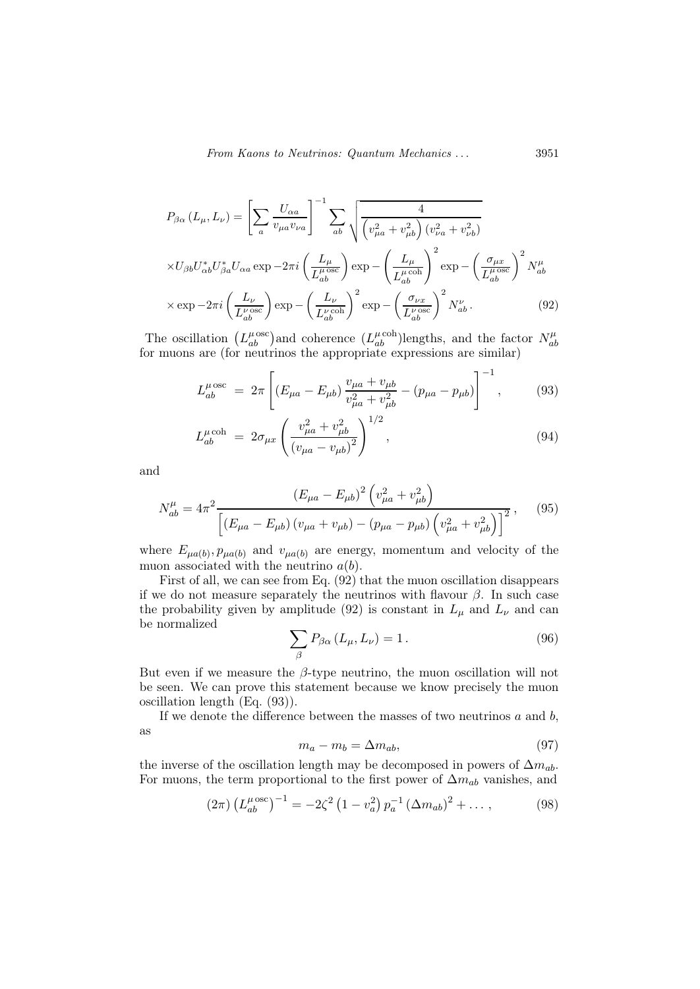$$
P_{\beta\alpha} (L_{\mu}, L_{\nu}) = \left[ \sum_{a} \frac{U_{\alpha a}}{v_{\mu a} v_{\nu a}} \right]^{-1} \sum_{ab} \sqrt{\frac{4}{\left( v_{\mu a}^{2} + v_{\mu b}^{2} \right) \left( v_{\nu a}^{2} + v_{\nu b}^{2} \right)}}
$$
  
× $U_{\beta b} U_{\alpha b}^{*} U_{\beta a}^{*} U_{\alpha a} \exp - 2\pi i \left( \frac{L_{\mu}}{L_{ab}^{\mu \text{ osc}}} \right) \exp - \left( \frac{L_{\mu}}{L_{ab}^{\mu \text{ coh}}} \right)^{2} \exp - \left( \frac{\sigma_{\mu x}}{L_{ab}^{\mu \text{ osc}}} \right)^{2} N_{ab}^{\mu}$   
× $\exp - 2\pi i \left( \frac{L_{\nu}}{L_{ab}^{\nu \text{ osc}}} \right) \exp - \left( \frac{L_{\nu}}{L_{ab}^{\nu \text{ coh}}} \right)^{2} \exp - \left( \frac{\sigma_{\nu x}}{L_{ab}^{\nu \text{ osc}}} \right)^{2} N_{ab}^{\nu}.$  (92)

The oscillation  $(L_{ab}^{\mu \text{ osc}})$  and coherence  $(L_{ab}^{\mu \text{ coh}})$  lengths, and the factor  $N_{ab}^{\mu}$ The oscillation  $(L_{ab}^L)$  and concretice  $(L_{ab}^L)$  lengths, and the factor  $N_{ab}$  for muons are (for neutrinos the appropriate expressions are similar)

$$
L_{ab}^{\mu \text{ osc}} = 2\pi \left[ (E_{\mu a} - E_{\mu b}) \frac{v_{\mu a} + v_{\mu b}}{v_{\mu a}^2 + v_{\mu b}^2} - (p_{\mu a} - p_{\mu b}) \right]^{-1}, \quad (93)
$$

$$
L_{ab}^{\mu \text{coh}} = 2\sigma_{\mu x} \left( \frac{v_{\mu a}^2 + v_{\mu b}^2}{(v_{\mu a} - v_{\mu b})^2} \right)^{1/2}, \qquad (94)
$$

and

$$
N_{ab}^{\mu} = 4\pi^2 \frac{(E_{\mu a} - E_{\mu b})^2 \left(v_{\mu a}^2 + v_{\mu b}^2\right)}{\left[ \left(E_{\mu a} - E_{\mu b}\right) \left(v_{\mu a} + v_{\mu b}\right) - \left(p_{\mu a} - p_{\mu b}\right) \left(v_{\mu a}^2 + v_{\mu b}^2\right) \right]^2},\tag{95}
$$

where  $E_{\mu a(b)}, p_{\mu a(b)}$  and  $v_{\mu a(b)}$  are energy, momentum and velocity of the muon associated with the neutrino  $a(b)$ .

First of all, we can see from Eq. (92) that the muon oscillation disappears if we do not measure separately the neutrinos with flavour  $\beta$ . In such case the probability given by amplitude (92) is constant in  $L_{\mu}$  and  $L_{\nu}$  and can be normalized

$$
\sum_{\beta} P_{\beta\alpha} \left( L_{\mu}, L_{\nu} \right) = 1. \tag{96}
$$

But even if we measure the  $\beta$ -type neutrino, the muon oscillation will not be seen. We can prove this statement because we know precisely the muon oscillation length (Eq. (93)).

If we denote the difference between the masses of two neutrinos  $a$  and  $b$ , as

$$
m_a - m_b = \Delta m_{ab},\tag{97}
$$

the inverse of the oscillation length may be decomposed in powers of  $\Delta m_{ab}$ . For muons, the term proportional to the first power of  $\Delta m_{ab}$  vanishes, and

$$
(2\pi)\left(L_{ab}^{\mu\,\text{osc}}\right)^{-1} = -2\zeta^2\left(1 - v_a^2\right)p_a^{-1}\left(\Delta m_{ab}\right)^2 + \dots,\tag{98}
$$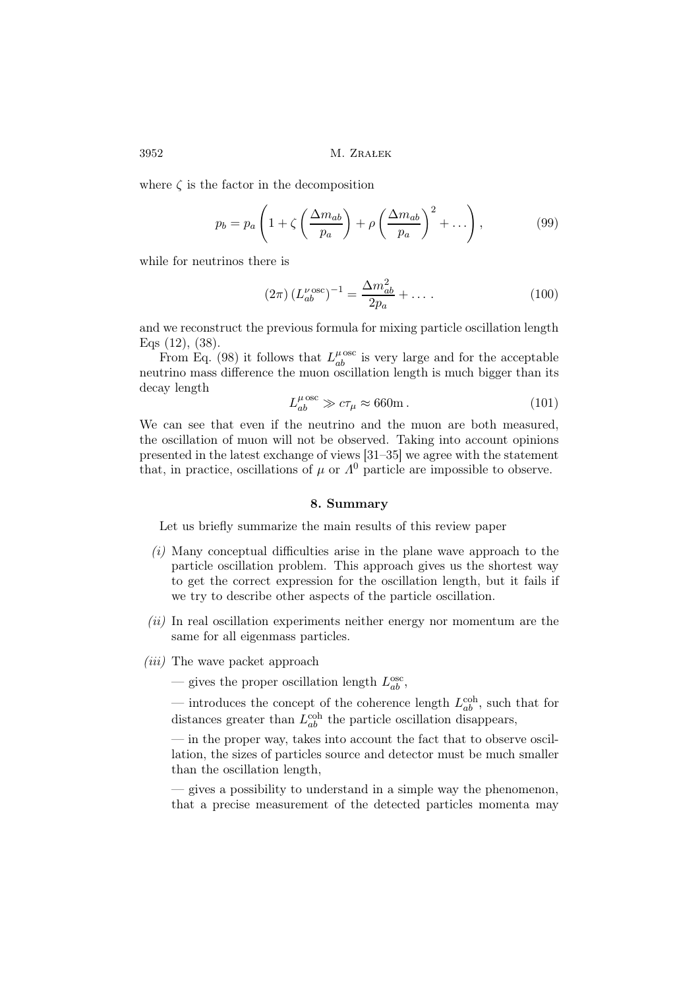where  $\zeta$  is the factor in the decomposition

$$
p_b = p_a \left( 1 + \zeta \left( \frac{\Delta m_{ab}}{p_a} \right) + \rho \left( \frac{\Delta m_{ab}}{p_a} \right)^2 + \dots \right),\tag{99}
$$

while for neutrinos there is

$$
(2\pi) \left(L_{ab}^{\nu \text{ osc}}\right)^{-1} = \frac{\Delta m_{ab}^2}{2p_a} + \dots \tag{100}
$$

and we reconstruct the previous formula for mixing particle oscillation length Eqs (12), (38).

From Eq. (98) it follows that  $L_{ab}^{\mu \text{ osc}}$  is very large and for the acceptable neutrino mass difference the muon oscillation length is much bigger than its decay length

$$
L_{ab}^{\mu \text{ osc}} \gg c\tau_{\mu} \approx 660 \text{m} \,. \tag{101}
$$

We can see that even if the neutrino and the muon are both measured, the oscillation of muon will not be observed. Taking into account opinions presented in the latest exchange of views [31–35] we agree with the statement that, in practice, oscillations of  $\mu$  or  $\Lambda^0$  particle are impossible to observe.

### 8. Summary

Let us briefly summarize the main results of this review paper

- $(i)$  Many conceptual difficulties arise in the plane wave approach to the particle oscillation problem. This approach gives us the shortest way to get the correct expression for the oscillation length, but it fails if we try to describe other aspects of the particle oscillation.
- $(ii)$  In real oscillation experiments neither energy nor momentum are the same for all eigenmass particles.
- $(iii)$  The wave packet approach

— gives the proper oscillation length  $L_{ab}^{\text{osc}}$ ,

— introduces the concept of the coherence length  $L_{ab}^{\text{coh}}$ , such that for distances greater than  $L_{ab}^{\text{coh}}$  the particle oscillation disappears,

— in the proper way, takes into account the fact that to observe oscillation, the sizes of particles source and detector must be much smaller than the oscillation length,

— gives a possibility to understand in a simple way the phenomenon, that a precise measurement of the detected particles momenta may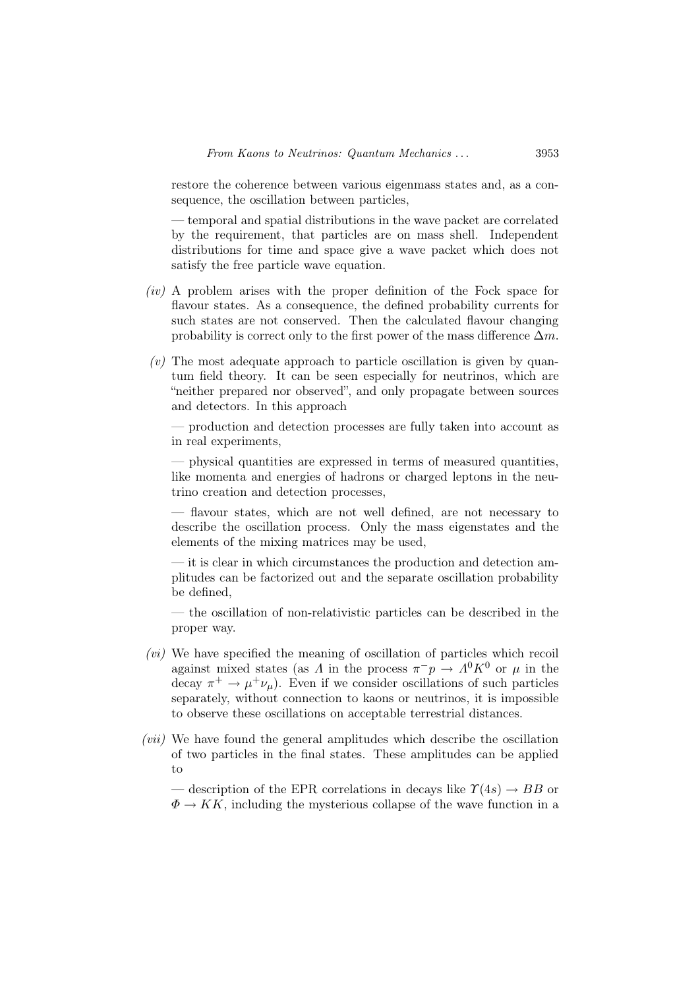restore the coherence between various eigenmass states and, as a consequence, the oscillation between particles,

— temporal and spatial distributions in the wave packet are correlated by the requirement, that particles are on mass shell. Independent distributions for time and space give a wave packet which does not satisfy the free particle wave equation.

- $(iv)$  A problem arises with the proper definition of the Fock space for flavour states. As a consequence, the defined probability currents for such states are not conserved. Then the calculated flavour changing probability is correct only to the first power of the mass difference  $\Delta m$ .
- $(v)$  The most adequate approach to particle oscillation is given by quantum field theory. It can be seen especially for neutrinos, which are "neither prepared nor observed", and only propagate between sources and detectors. In this approach

— production and detection processes are fully taken into account as in real experiments,

— physical quantities are expressed in terms of measured quantities, like momenta and energies of hadrons or charged leptons in the neutrino creation and detection processes,

— flavour states, which are not well defined, are not necessary to describe the oscillation process. Only the mass eigenstates and the elements of the mixing matrices may be used,

— it is clear in which circumstances the production and detection amplitudes can be factorized out and the separate oscillation probability be defined,

— the oscillation of non-relativistic particles can be described in the proper way.

- $(vi)$  We have specified the meaning of oscillation of particles which recoil against mixed states (as  $\Lambda$  in the process  $\pi^- p \to \Lambda^0 K^0$  or  $\mu$  in the decay  $\pi^+ \to \mu^+ \nu_\mu$ ). Even if we consider oscillations of such particles separately, without connection to kaons or neutrinos, it is impossible to observe these oscillations on acceptable terrestrial distances.
- (vii) We have found the general amplitudes which describe the oscillation of two particles in the final states. These amplitudes can be applied to

— description of the EPR correlations in decays like  $\Upsilon(4s) \rightarrow BB$  or  $\Phi \to KK$ , including the mysterious collapse of the wave function in a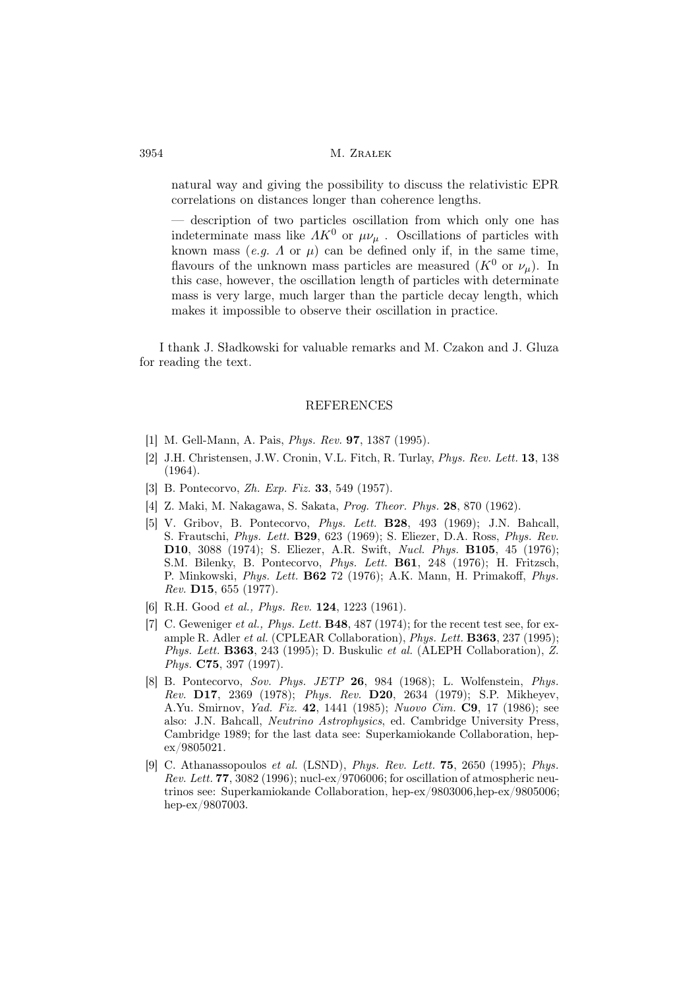natural way and giving the possibility to discuss the relativistic EPR correlations on distances longer than coherence lengths.

description of two particles oscillation from which only one has indeterminate mass like  $\Lambda K^0$  or  $\mu\nu_\mu$ . Oscillations of particles with known mass  $(e,q, \Lambda \text{ or } \mu)$  can be defined only if, in the same time, flavours of the unknown mass particles are measured  $(K^0$  or  $\nu_\mu$ ). In this case, however, the oscillation length of particles with determinate mass is very large, much larger than the particle decay length, which makes it impossible to observe their oscillation in practice.

I thank J. Sładkowski for valuable remarks and M. Czakon and J. Gluza for reading the text.

### REFERENCES

- [1] M. Gell-Mann, A. Pais, Phys. Rev. 97, 1387 (1995).
- [2] J.H. Christensen, J.W. Cronin, V.L. Fitch, R. Turlay, Phys. Rev. Lett. 13, 138 (1964).
- [3] B. Pontecorvo, Zh. Exp. Fiz. 33, 549 (1957).
- [4] Z. Maki, M. Nakagawa, S. Sakata, Prog. Theor. Phys. 28, 870 (1962).
- [5] V. Gribov, B. Pontecorvo, Phys. Lett. B28, 493 (1969); J.N. Bahcall, S. Frautschi, Phys. Lett. B29, 623 (1969); S. Eliezer, D.A. Ross, Phys. Rev. D10, 3088 (1974); S. Eliezer, A.R. Swift, Nucl. Phys. B105, 45 (1976); S.M. Bilenky, B. Pontecorvo, Phys. Lett. B61, 248 (1976); H. Fritzsch, P. Minkowski, Phys. Lett. B62 72 (1976); A.K. Mann, H. Primakoff, Phys. Rev. D15, 655 (1977).
- [6] R.H. Good et al., Phys. Rev. 124, 1223 (1961).
- [7] C. Geweniger et al., Phys. Lett. **B48**, 487 (1974); for the recent test see, for example R. Adler et al. (CPLEAR Collaboration), *Phys. Lett.* **B363**, 237 (1995); Phys. Lett. **B363**, 243 (1995); D. Buskulic et al. (ALEPH Collaboration),  $\hat{Z}$ . Phys. C75, 397 (1997).
- [8] B. Pontecorvo, Sov. Phys. JETP 26, 984 (1968); L. Wolfenstein, Phys. Rev. **D17**, 2369 (1978); *Phys. Rev.* **D20**, 2634 (1979); S.P. Mikheyev, A.Yu. Smirnov, Yad. Fiz. 42, 1441 (1985); Nuovo Cim. C9, 17 (1986); see also: J.N. Bahcall, Neutrino Astrophysics, ed. Cambridge University Press, Cambridge 1989; for the last data see: Superkamiokande Collaboration, hepex/9805021.
- [9] C. Athanassopoulos et al. (LSND), Phys. Rev. Lett. 75, 2650 (1995); Phys. Rev. Lett. 77, 3082 (1996); nucl-ex/9706006; for oscillation of atmospheric neutrinos see: Superkamiokande Collaboration, hep-ex/9803006,hep-ex/9805006; hep-ex/9807003.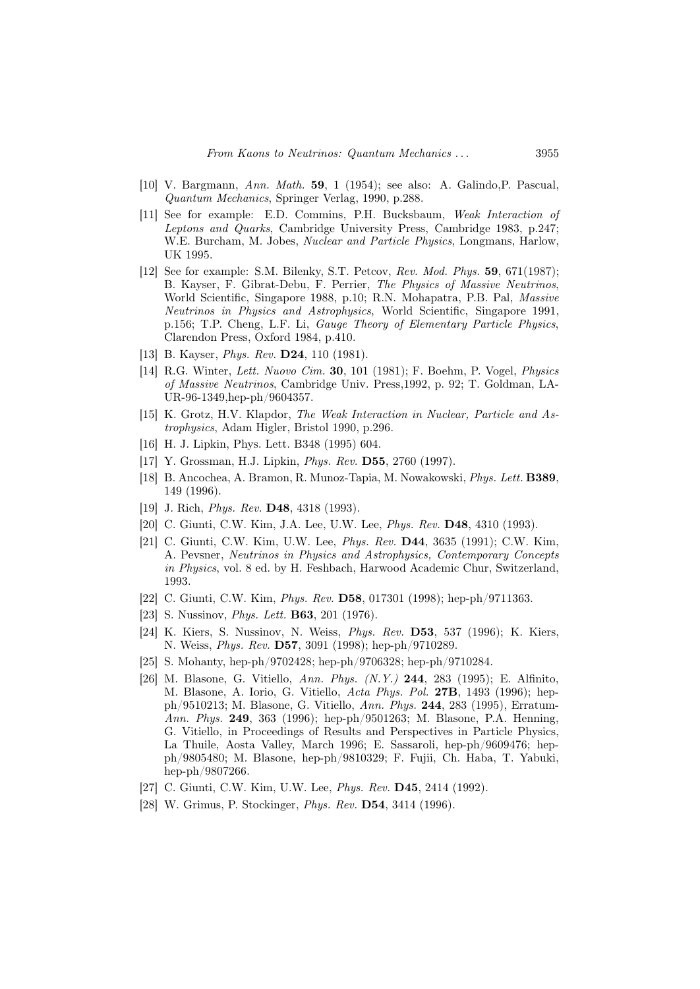- [10] V. Bargmann, Ann. Math. 59, 1 (1954); see also: A. Galindo,P. Pascual, Quantum Mechanics, Springer Verlag, 1990, p.288.
- [11] See for example: E.D. Commins, P.H. Bucksbaum, Weak Interaction of Leptons and Quarks, Cambridge University Press, Cambridge 1983, p.247; W.E. Burcham, M. Jobes, *Nuclear and Particle Physics*, Longmans, Harlow, UK 1995.
- [12] See for example: S.M. Bilenky, S.T. Petcov, Rev. Mod. Phys. 59, 671(1987); B. Kayser, F. Gibrat-Debu, F. Perrier, The Physics of Massive Neutrinos, World Scientific, Singapore 1988, p.10; R.N. Mohapatra, P.B. Pal, Massive Neutrinos in Physics and Astrophysics, World Scientific, Singapore 1991, p.156; T.P. Cheng, L.F. Li, Gauge Theory of Elementary Particle Physics, Clarendon Press, Oxford 1984, p.410.
- [13] B. Kayser, *Phys. Rev.* **D24**, 110 (1981).
- [14] R.G. Winter, Lett. Nuovo Cim. 30, 101 (1981); F. Boehm, P. Vogel, Physics of Massive Neutrinos, Cambridge Univ. Press,1992, p. 92; T. Goldman, LA-UR-96-1349,hep-ph/9604357.
- [15] K. Grotz, H.V. Klapdor, The Weak Interaction in Nuclear, Particle and Astrophysics, Adam Higler, Bristol 1990, p.296.
- [16] H. J. Lipkin, Phys. Lett. B348 (1995) 604.
- [17] Y. Grossman, H.J. Lipkin, *Phys. Rev.* **D55**, 2760 (1997).
- [18] B. Ancochea, A. Bramon, R. Munoz-Tapia, M. Nowakowski, Phys. Lett. B389, 149 (1996).
- [19] J. Rich, *Phys. Rev.* **D48**, 4318 (1993).
- [20] C. Giunti, C.W. Kim, J.A. Lee, U.W. Lee, *Phys. Rev.* **D48**, 4310 (1993).
- [21] C. Giunti, C.W. Kim, U.W. Lee, Phys. Rev. D44, 3635 (1991); C.W. Kim, A. Pevsner, Neutrinos in Physics and Astrophysics, Contemporary Concepts in Physics, vol. 8 ed. by H. Feshbach, Harwood Academic Chur, Switzerland, 1993.
- [22] C. Giunti, C.W. Kim, Phys. Rev. D58, 017301 (1998); hep-ph/9711363.
- [23] S. Nussinov, *Phys. Lett.* **B63**, 201 (1976).
- [24] K. Kiers, S. Nussinov, N. Weiss, Phys. Rev. D53, 537 (1996); K. Kiers, N. Weiss, Phys. Rev. D57, 3091 (1998); hep-ph/9710289.
- [25] S. Mohanty, hep-ph/9702428; hep-ph/9706328; hep-ph/9710284.
- [26] M. Blasone, G. Vitiello, Ann. Phys. (N.Y.) 244, 283 (1995); E. Alfinito, M. Blasone, A. Iorio, G. Vitiello, Acta Phys. Pol. 27B, 1493 (1996); hepph/9510213; M. Blasone, G. Vitiello, Ann. Phys. 244, 283 (1995), Erratum-Ann. Phys. 249, 363 (1996); hep-ph/9501263; M. Blasone, P.A. Henning, G. Vitiello, in Proceedings of Results and Perspectives in Particle Physics, La Thuile, Aosta Valley, March 1996; E. Sassaroli, hep-ph/9609476; hepph/9805480; M. Blasone, hep-ph/9810329; F. Fujii, Ch. Haba, T. Yabuki, hep-ph/9807266.
- [27] C. Giunti, C.W. Kim, U.W. Lee, *Phys. Rev.* **D45**, 2414 (1992).
- [28] W. Grimus, P. Stockinger, *Phys. Rev.* **D54**, 3414 (1996).